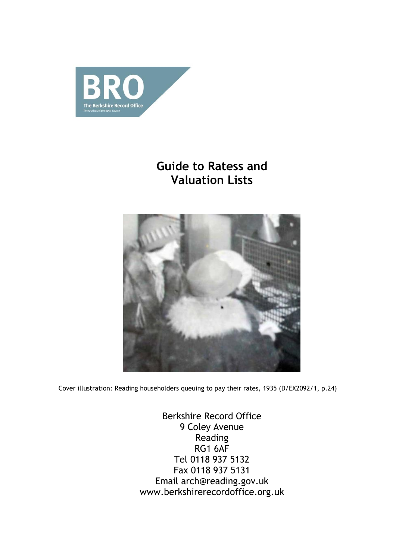

# **Guide to Ratess and Valuation Lists**



Cover illustration: Reading householders queuing to pay their rates, 1935 (D/EX2092/1, p.24)

Berkshire Record Office 9 Coley Avenue Reading RG1 6AF Tel 0118 937 5132 Fax 0118 937 5131 Email arch@reading.gov.uk www.berkshirerecordoffice.org.uk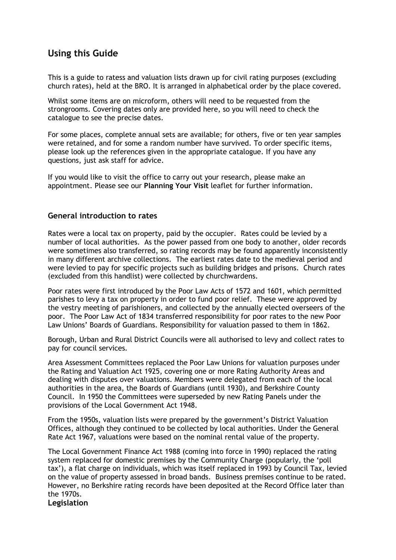# **Using this Guide**

This is a guide to ratess and valuation lists drawn up for civil rating purposes (excluding church rates), held at the BRO. It is arranged in alphabetical order by the place covered.

Whilst some items are on microform, others will need to be requested from the strongrooms. Covering dates only are provided here, so you will need to check the catalogue to see the precise dates.

For some places, complete annual sets are available; for others, five or ten year samples were retained, and for some a random number have survived. To order specific items, please look up the references given in the appropriate catalogue. If you have any questions, just ask staff for advice.

If you would like to visit the office to carry out your research, please make an appointment. Please see our **Planning Your Visit** leaflet for further information.

### **General introduction to rates**

Rates were a local tax on property, paid by the occupier. Rates could be levied by a number of local authorities. As the power passed from one body to another, older records were sometimes also transferred, so rating records may be found apparently inconsistently in many different archive collections. The earliest rates date to the medieval period and were levied to pay for specific projects such as building bridges and prisons. Church rates (excluded from this handlist) were collected by churchwardens.

Poor rates were first introduced by the Poor Law Acts of 1572 and 1601, which permitted parishes to levy a tax on property in order to fund poor relief. These were approved by the vestry meeting of parishioners, and collected by the annually elected overseers of the poor. The Poor Law Act of 1834 transferred responsibility for poor rates to the new Poor Law Unions' Boards of Guardians. Responsibility for valuation passed to them in 1862.

Borough, Urban and Rural District Councils were all authorised to levy and collect rates to pay for council services.

Area Assessment Committees replaced the Poor Law Unions for valuation purposes under the Rating and Valuation Act 1925, covering one or more Rating Authority Areas and dealing with disputes over valuations. Members were delegated from each of the local authorities in the area, the Boards of Guardians (until 1930), and Berkshire County Council. In 1950 the Committees were superseded by new Rating Panels under the provisions of the Local Government Act 1948.

From the 1950s, valuation lists were prepared by the government's District Valuation Offices, although they continued to be collected by local authorities. Under the General Rate Act 1967, valuations were based on the nominal rental value of the property.

The Local Government Finance Act 1988 (coming into force in 1990) replaced the rating system replaced for domestic premises by the Community Charge (popularly, the 'poll tax'), a flat charge on individuals, which was itself replaced in 1993 by Council Tax, levied on the value of property assessed in broad bands. Business premises continue to be rated. However, no Berkshire rating records have been deposited at the Record Office later than the 1970s.

**Legislation**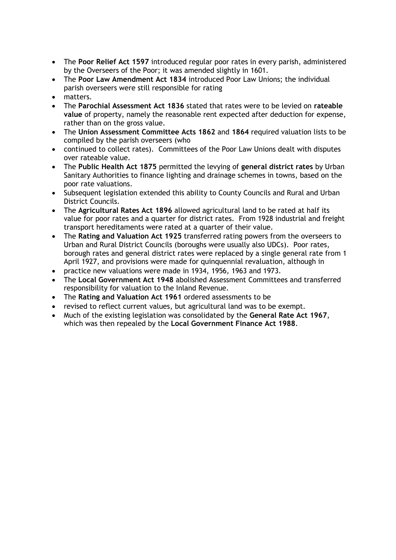- The **Poor Relief Act 1597** introduced regular poor rates in every parish, administered by the Overseers of the Poor; it was amended slightly in 1601.
- The **Poor Law Amendment Act 1834** introduced Poor Law Unions; the individual parish overseers were still responsible for rating
- matters.
- The **Parochial Assessment Act 1836** stated that rates were to be levied on **rateable value** of property, namely the reasonable rent expected after deduction for expense, rather than on the gross value.
- The **Union Assessment Committee Acts 1862** and **1864** required valuation lists to be compiled by the parish overseers (who
- continued to collect rates). Committees of the Poor Law Unions dealt with disputes over rateable value.
- The **Public Health Act 1875** permitted the levying of **general district rates** by Urban Sanitary Authorities to finance lighting and drainage schemes in towns, based on the poor rate valuations.
- Subsequent legislation extended this ability to County Councils and Rural and Urban District Councils.
- The **Agricultural Rates Act 1896** allowed agricultural land to be rated at half its value for poor rates and a quarter for district rates. From 1928 industrial and freight transport hereditaments were rated at a quarter of their value.
- The **Rating and Valuation Act 1925** transferred rating powers from the overseers to Urban and Rural District Councils (boroughs were usually also UDCs). Poor rates, borough rates and general district rates were replaced by a single general rate from 1 April 1927, and provisions were made for quinquennial revaluation, although in
- practice new valuations were made in 1934, 1956, 1963 and 1973.
- The **Local Government Act 1948** abolished Assessment Committees and transferred responsibility for valuation to the Inland Revenue.
- The **Rating and Valuation Act 1961** ordered assessments to be
- revised to reflect current values, but agricultural land was to be exempt.
- Much of the existing legislation was consolidated by the **General Rate Act 1967**, which was then repealed by the **Local Government Finance Act 1988**.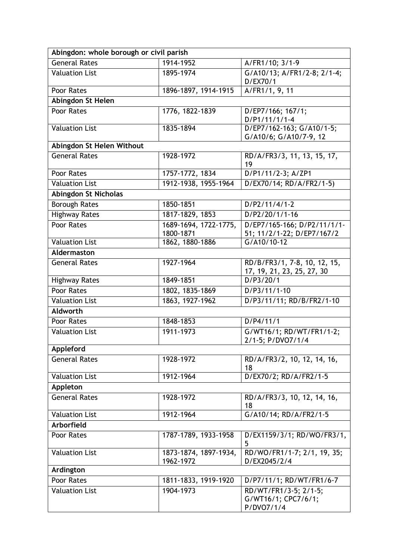| Abingdon: whole borough or civil parish |                                    |                                                            |  |
|-----------------------------------------|------------------------------------|------------------------------------------------------------|--|
| <b>General Rates</b>                    | 1914-1952                          | A/FR1/10; 3/1-9                                            |  |
| <b>Valuation List</b>                   | 1895-1974                          | G/A10/13; A/FR1/2-8; 2/1-4;<br>D/EX70/1                    |  |
| Poor Rates                              | 1896-1897, 1914-1915               | A/FR1/1, 9, 11                                             |  |
| Abingdon St Helen                       |                                    |                                                            |  |
| Poor Rates                              | 1776, 1822-1839                    | D/EP7/166; 167/1;<br>$D/P1/11/1/1-4$                       |  |
| <b>Valuation List</b>                   | 1835-1894                          | D/EP7/162-163; G/A10/1-5;<br>G/A10/6; G/A10/7-9, 12        |  |
| Abingdon St Helen Without               |                                    |                                                            |  |
| <b>General Rates</b>                    | 1928-1972                          | RD/A/FR3/3, 11, 13, 15, 17,<br>19                          |  |
| Poor Rates                              | 1757-1772, 1834                    | D/P1/11/2-3; A/ZP1                                         |  |
| <b>Valuation List</b>                   | 1912-1938, 1955-1964               | D/EX70/14; RD/A/FR2/1-5)                                   |  |
| Abingdon St Nicholas                    |                                    |                                                            |  |
| <b>Borough Rates</b>                    | 1850-1851                          | $D/P2/11/4/1-2$                                            |  |
| <b>Highway Rates</b>                    | 1817-1829, 1853                    | D/P2/20/1/1-16                                             |  |
| Poor Rates                              | 1689-1694, 1722-1775,<br>1800-1871 | D/EP7/165-166; D/P2/11/1/1-<br>51; 11/2/1-22; D/EP7/167/2  |  |
| <b>Valuation List</b>                   | 1862, 1880-1886                    | G/A10/10-12                                                |  |
| Aldermaston                             |                                    |                                                            |  |
| <b>General Rates</b>                    | 1927-1964                          | RD/B/FR3/1, 7-8, 10, 12, 15,<br>17, 19, 21, 23, 25, 27, 30 |  |
| <b>Highway Rates</b>                    | 1849-1851                          | D/P3/20/1                                                  |  |
| Poor Rates                              | 1802, 1835-1869                    | D/P3/11/1-10                                               |  |
| <b>Valuation List</b>                   | 1863, 1927-1962                    | D/P3/11/11; RD/B/FR2/1-10                                  |  |
| <b>Aldworth</b>                         |                                    |                                                            |  |
| Poor Rates                              | 1848-1853                          | D/P4/11/1                                                  |  |
| <b>Valuation List</b>                   | 1911-1973                          | G/WT16/1; RD/WT/FR1/1-2;<br>2/1-5; P/DVO7/1/4              |  |
| Appleford                               |                                    |                                                            |  |
| <b>General Rates</b>                    | 1928-1972                          | RD/A/FR3/2, 10, 12, 14, 16,<br>18                          |  |
| <b>Valuation List</b>                   | 1912-1964                          | D/EX70/2; RD/A/FR2/1-5                                     |  |
| Appleton                                |                                    |                                                            |  |
| <b>General Rates</b>                    | 1928-1972                          | RD/A/FR3/3, 10, 12, 14, 16,<br>18                          |  |
| <b>Valuation List</b>                   | 1912-1964                          | G/A10/14; RD/A/FR2/1-5                                     |  |
| Arborfield                              |                                    |                                                            |  |
| Poor Rates                              | 1787-1789, 1933-1958               | D/EX1159/3/1; RD/WO/FR3/1,<br>5                            |  |
| <b>Valuation List</b>                   | 1873-1874, 1897-1934,<br>1962-1972 | RD/WO/FR1/1-7; 2/1, 19, 35;<br>D/EX2045/2/4                |  |
| Ardington                               |                                    |                                                            |  |
| Poor Rates                              | 1811-1833, 1919-1920               | D/P7/11/1; RD/WT/FR1/6-7                                   |  |
| <b>Valuation List</b>                   | 1904-1973                          | RD/WT/FR1/3-5; 2/1-5;<br>G/WT16/1; CPC7/6/1;<br>P/DVO7/1/4 |  |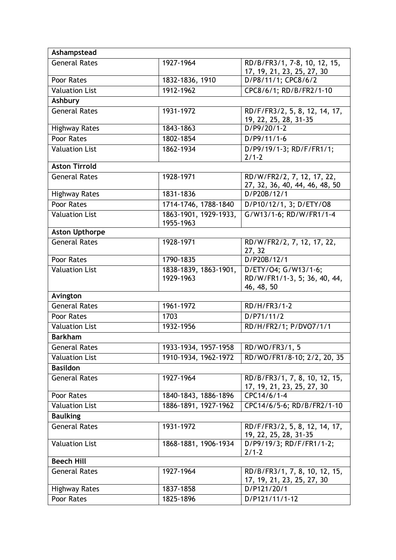| Ashampstead           |                                    |                                                                    |
|-----------------------|------------------------------------|--------------------------------------------------------------------|
| <b>General Rates</b>  | 1927-1964                          | RD/B/FR3/1, 7-8, 10, 12, 15,<br>17, 19, 21, 23, 25, 27, 30         |
| Poor Rates            | 1832-1836, 1910                    | D/P8/11/1; CPC8/6/2                                                |
| <b>Valuation List</b> | 1912-1962                          | CPC8/6/1; RD/B/FR2/1-10                                            |
| Ashbury               |                                    |                                                                    |
| <b>General Rates</b>  | 1931-1972                          | RD/F/FR3/2, 5, 8, 12, 14, 17,<br>19, 22, 25, 28, 31-35             |
| <b>Highway Rates</b>  | 1843-1863                          | $D/P9/20/1-2$                                                      |
| Poor Rates            | 1802-1854                          | $D/P9/11/1-6$                                                      |
| <b>Valuation List</b> | 1862-1934                          | D/P9/19/1-3; RD/F/FR1/1;<br>$2/1 - 2$                              |
| <b>Aston Tirrold</b>  |                                    |                                                                    |
| <b>General Rates</b>  | 1928-1971                          | RD/W/FR2/2, 7, 12, 17, 22,<br>27, 32, 36, 40, 44, 46, 48, 50       |
| <b>Highway Rates</b>  | 1831-1836                          | D/P20B/12/1                                                        |
| Poor Rates            | 1714-1746, 1788-1840               | D/P10/12/1, 3; D/ETY/08                                            |
| <b>Valuation List</b> | 1863-1901, 1929-1933,<br>1955-1963 | G/W13/1-6; RD/W/FR1/1-4                                            |
| <b>Aston Upthorpe</b> |                                    |                                                                    |
| <b>General Rates</b>  | 1928-1971                          | RD/W/FR2/2, 7, 12, 17, 22,<br>27, 32                               |
| Poor Rates            | 1790-1835                          | D/P20B/12/1                                                        |
| <b>Valuation List</b> | 1838-1839, 1863-1901,<br>1929-1963 | D/ETY/04; G/W13/1-6;<br>RD/W/FR1/1-3, 5; 36, 40, 44,<br>46, 48, 50 |
| Avington              |                                    |                                                                    |
| <b>General Rates</b>  | 1961-1972                          | RD/H/FR3/1-2                                                       |
| Poor Rates            | 1703                               | D/P71/11/2                                                         |
| <b>Valuation List</b> | 1932-1956                          | RD/H/FR2/1; P/DVO7/1/1                                             |
| <b>Barkham</b>        |                                    |                                                                    |
| <b>General Rates</b>  | 1933-1934, 1957-1958               | RD/WO/FR3/1, 5                                                     |
| <b>Valuation List</b> | 1910-1934, 1962-1972               | RD/WO/FR1/8-10; 2/2, 20, 35                                        |
| <b>Basildon</b>       |                                    |                                                                    |
| <b>General Rates</b>  | 1927-1964                          | RD/B/FR3/1, 7, 8, 10, 12, 15,<br>17, 19, 21, 23, 25, 27, 30        |
| Poor Rates            | 1840-1843, 1886-1896               | CPC14/6/1-4                                                        |
| <b>Valuation List</b> | 1886-1891, 1927-1962               | CPC14/6/5-6; RD/B/FR2/1-10                                         |
| <b>Baulking</b>       |                                    |                                                                    |
| <b>General Rates</b>  | 1931-1972                          | RD/F/FR3/2, 5, 8, 12, 14, 17,<br>19, 22, 25, 28, 31-35             |
| <b>Valuation List</b> | 1868-1881, 1906-1934               | D/P9/19/3; RD/F/FR1/1-2;<br>$2/1 - 2$                              |
| <b>Beech Hill</b>     |                                    |                                                                    |
| <b>General Rates</b>  | 1927-1964                          | RD/B/FR3/1, 7, 8, 10, 12, 15,<br>17, 19, 21, 23, 25, 27, 30        |
| <b>Highway Rates</b>  | 1837-1858                          | D/P121/20/1                                                        |
| Poor Rates            | 1825-1896                          | D/P121/11/1-12                                                     |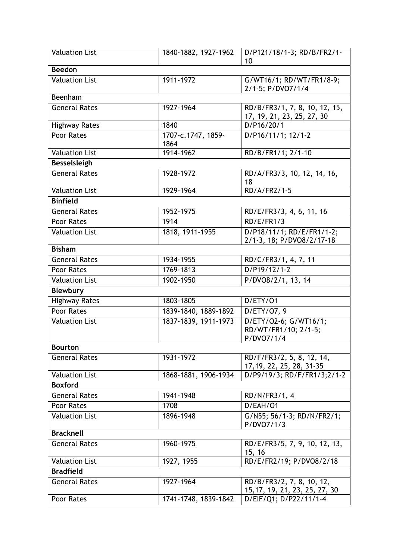| <b>Valuation List</b> | 1840-1882, 1927-1962 | D/P121/18/1-3; RD/B/FR2/1-<br>10                            |
|-----------------------|----------------------|-------------------------------------------------------------|
| <b>Beedon</b>         |                      |                                                             |
| <b>Valuation List</b> | 1911-1972            | G/WT16/1; RD/WT/FR1/8-9;                                    |
|                       |                      | 2/1-5; P/DVO7/1/4                                           |
| Beenham               |                      |                                                             |
| <b>General Rates</b>  | 1927-1964            | RD/B/FR3/1, 7, 8, 10, 12, 15,<br>17, 19, 21, 23, 25, 27, 30 |
| <b>Highway Rates</b>  | 1840                 | D/P16/20/1                                                  |
| Poor Rates            | 1707-c.1747, 1859-   | D/P16/11/1; 12/1-2                                          |
|                       | 1864                 |                                                             |
| <b>Valuation List</b> | 1914-1962            | RD/B/FR1/1; 2/1-10                                          |
| <b>Besselsleigh</b>   |                      |                                                             |
| <b>General Rates</b>  | 1928-1972            | RD/A/FR3/3, 10, 12, 14, 16,<br>18                           |
| <b>Valuation List</b> | 1929-1964            | RD/A/FR2/1-5                                                |
| <b>Binfield</b>       |                      |                                                             |
| <b>General Rates</b>  | 1952-1975            | RD/E/FR3/3, 4, 6, 11, 16                                    |
| Poor Rates            | 1914                 | RD/E/FR1/3                                                  |
| <b>Valuation List</b> | 1818, 1911-1955      | D/P18/11/1; RD/E/FR1/1-2;                                   |
|                       |                      | 2/1-3, 18; P/DVO8/2/17-18                                   |
| <b>Bisham</b>         |                      |                                                             |
| <b>General Rates</b>  | 1934-1955            | RD/C/FR3/1, 4, 7, 11                                        |
| Poor Rates            | 1769-1813            | $D/P19/12/1-2$                                              |
| <b>Valuation List</b> | 1902-1950            | P/DVO8/2/1, 13, 14                                          |
| <b>Blewbury</b>       |                      |                                                             |
| <b>Highway Rates</b>  | 1803-1805            | D/ETY/01                                                    |
| Poor Rates            | 1839-1840, 1889-1892 | D/ETY/07, 9                                                 |
| <b>Valuation List</b> | 1837-1839, 1911-1973 | D/ETY/02-6; G/WT16/1;<br>RD/WT/FR1/10; 2/1-5;<br>P/DVO7/1/4 |
| <b>Bourton</b>        |                      |                                                             |
| <b>General Rates</b>  | 1931-1972            | RD/F/FR3/2, 5, 8, 12, 14,<br>17, 19, 22, 25, 28, 31-35      |
| <b>Valuation List</b> | 1868-1881, 1906-1934 | D/P9/19/3; RD/F/FR1/3;2/1-2                                 |
| <b>Boxford</b>        |                      |                                                             |
| <b>General Rates</b>  | 1941-1948            | RD/N/FR3/1, 4                                               |
| Poor Rates            | 1708                 | D/EAH/01                                                    |
| <b>Valuation List</b> | 1896-1948            | G/N55; 56/1-3; RD/N/FR2/1;<br>P/DVO7/1/3                    |
| <b>Bracknell</b>      |                      |                                                             |
| <b>General Rates</b>  | 1960-1975            | RD/E/FR3/5, 7, 9, 10, 12, 13,<br>15, 16                     |
| <b>Valuation List</b> | 1927, 1955           | RD/E/FR2/19; P/DVO8/2/18                                    |
| <b>Bradfield</b>      |                      |                                                             |
| <b>General Rates</b>  | 1927-1964            | RD/B/FR3/2, 7, 8, 10, 12,<br>15, 17, 19, 21, 23, 25, 27, 30 |
| Poor Rates            | 1741-1748, 1839-1842 | D/EIF/Q1; D/P22/11/1-4                                      |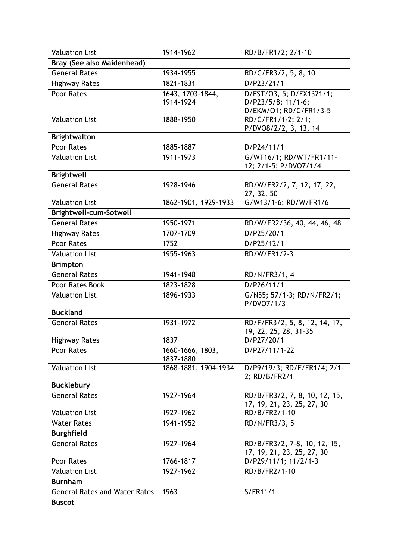| <b>Valuation List</b>                | 1914-1962            | RD/B/FR1/2; 2/1-10                                          |
|--------------------------------------|----------------------|-------------------------------------------------------------|
| Bray (See also Maidenhead)           |                      |                                                             |
| <b>General Rates</b>                 | 1934-1955            | RD/C/FR3/2, 5, 8, 10                                        |
| <b>Highway Rates</b>                 | 1821-1831            | D/P23/21/1                                                  |
| Poor Rates                           | 1643, 1703-1844,     | D/EST/O3, 5; D/EX1321/1;                                    |
|                                      | 1914-1924            | D/P23/5/8; 11/1-6;                                          |
|                                      |                      | D/EKM/O1; RD/C/FR1/3-5                                      |
| <b>Valuation List</b>                | 1888-1950            | RD/C/FR1/1-2; 2/1;                                          |
| <b>Brightwalton</b>                  |                      | P/DVO8/2/2, 3, 13, 14                                       |
| Poor Rates                           | 1885-1887            | D/P24/11/1                                                  |
| <b>Valuation List</b>                | 1911-1973            | G/WT16/1; RD/WT/FR1/11-                                     |
|                                      |                      | 12; 2/1-5; P/DVO7/1/4                                       |
| <b>Brightwell</b>                    |                      |                                                             |
| <b>General Rates</b>                 | 1928-1946            | RD/W/FR2/2, 7, 12, 17, 22,                                  |
|                                      |                      | 27, 32, 50                                                  |
| <b>Valuation List</b>                | 1862-1901, 1929-1933 | G/W13/1-6; RD/W/FR1/6                                       |
| Brightwell-cum-Sotwell               |                      |                                                             |
| <b>General Rates</b>                 | 1950-1971            | RD/W/FR2/36, 40, 44, 46, 48                                 |
| <b>Highway Rates</b>                 | 1707-1709            | D/P25/20/1                                                  |
| Poor Rates                           | 1752                 | D/P25/12/1                                                  |
| <b>Valuation List</b>                | 1955-1963            | RD/W/FR1/2-3                                                |
| <b>Brimpton</b>                      |                      |                                                             |
| <b>General Rates</b>                 | 1941-1948            | RD/N/FR3/1, 4                                               |
| Poor Rates Book                      | 1823-1828            | D/P26/11/1                                                  |
| <b>Valuation List</b>                | 1896-1933            | G/N55; 57/1-3; RD/N/FR2/1;                                  |
| <b>Buckland</b>                      |                      | P/DVO7/1/3                                                  |
| <b>General Rates</b>                 | 1931-1972            |                                                             |
|                                      |                      | RD/F/FR3/2, 5, 8, 12, 14, 17,<br>19, 22, 25, 28, 31-35      |
| <b>Highway Rates</b>                 | 1837                 | D/P27/20/1                                                  |
| Poor Rates                           | 1660-1666, 1803,     | D/P27/11/1-22                                               |
|                                      | 1837-1880            |                                                             |
| <b>Valuation List</b>                | 1868-1881, 1904-1934 | D/P9/19/3; RD/F/FR1/4; 2/1-<br>2; RD/B/FR2/1                |
| <b>Bucklebury</b>                    |                      |                                                             |
| <b>General Rates</b>                 | 1927-1964            | RD/B/FR3/2, 7, 8, 10, 12, 15,<br>17, 19, 21, 23, 25, 27, 30 |
| <b>Valuation List</b>                | 1927-1962            | RD/B/FR2/1-10                                               |
| <b>Water Rates</b>                   | 1941-1952            | RD/N/FR3/3, 5                                               |
| <b>Burghfield</b>                    |                      |                                                             |
| <b>General Rates</b>                 | 1927-1964            | RD/B/FR3/2, 7-8, 10, 12, 15,                                |
|                                      |                      | 17, 19, 21, 23, 25, 27, 30                                  |
| Poor Rates                           | 1766-1817            | D/P29/11/1; 11/2/1-3                                        |
| <b>Valuation List</b>                | 1927-1962            | RD/B/FR2/1-10                                               |
| <b>Burnham</b>                       |                      |                                                             |
| <b>General Rates and Water Rates</b> | 1963                 | S/FR11/1                                                    |
| <b>Buscot</b>                        |                      |                                                             |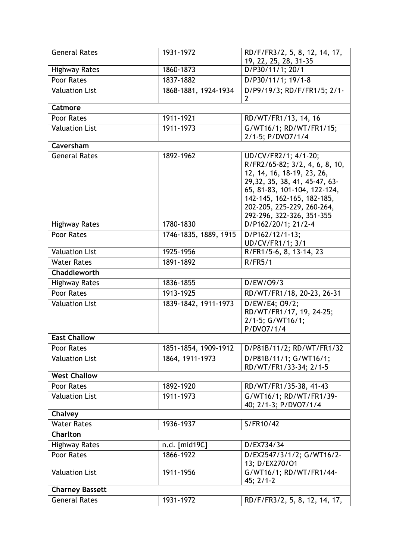| <b>General Rates</b>   | 1931-1972             | RD/F/FR3/2, 5, 8, 12, 14, 17,<br>19, 22, 25, 28, 31-35                                                                                                                                                                                          |
|------------------------|-----------------------|-------------------------------------------------------------------------------------------------------------------------------------------------------------------------------------------------------------------------------------------------|
| <b>Highway Rates</b>   | 1860-1873             | D/P30/11/1; 20/1                                                                                                                                                                                                                                |
| Poor Rates             | 1837-1882             | D/P30/11/1; 19/1-8                                                                                                                                                                                                                              |
| <b>Valuation List</b>  | 1868-1881, 1924-1934  | D/P9/19/3; RD/F/FR1/5; 2/1-<br>2                                                                                                                                                                                                                |
| <b>Catmore</b>         |                       |                                                                                                                                                                                                                                                 |
| Poor Rates             | 1911-1921             | RD/WT/FR1/13, 14, 16                                                                                                                                                                                                                            |
| <b>Valuation List</b>  | 1911-1973             | G/WT16/1; RD/WT/FR1/15;<br>2/1-5; P/DVO7/1/4                                                                                                                                                                                                    |
| Caversham              |                       |                                                                                                                                                                                                                                                 |
| <b>General Rates</b>   | 1892-1962             | UD/CV/FR2/1; 4/1-20;<br>R/FR2/65-82; 3/2, 4, 6, 8, 10,<br>12, 14, 16, 18-19, 23, 26,<br>29, 32, 35, 38, 41, 45-47, 63-<br>65, 81-83, 101-104, 122-124,<br>142-145, 162-165, 182-185,<br>202-205, 225-229, 260-264,<br>292-296, 322-326, 351-355 |
| <b>Highway Rates</b>   | 1780-1830             | D/P162/20/1; 21/2-4                                                                                                                                                                                                                             |
| Poor Rates             | 1746-1835, 1889, 1915 | D/P162/12/1-13;<br>UD/CV/FR1/1; 3/1                                                                                                                                                                                                             |
| <b>Valuation List</b>  | 1925-1956             | R/FR1/5-6, 8, 13-14, 23                                                                                                                                                                                                                         |
| <b>Water Rates</b>     | 1891-1892             | R/FR5/1                                                                                                                                                                                                                                         |
| Chaddleworth           |                       |                                                                                                                                                                                                                                                 |
| <b>Highway Rates</b>   | 1836-1855             | D/EW/O9/3                                                                                                                                                                                                                                       |
| Poor Rates             | 1913-1925             | RD/WT/FR1/18, 20-23, 26-31                                                                                                                                                                                                                      |
| <b>Valuation List</b>  | 1839-1842, 1911-1973  | D/EW/E4; 09/2;<br>RD/WT/FR1/17, 19, 24-25;<br>2/1-5; G/WT16/1;<br>P/DVO7/1/4                                                                                                                                                                    |
| <b>East Challow</b>    |                       |                                                                                                                                                                                                                                                 |
| Poor Rates             | 1851-1854, 1909-1912  | D/P81B/11/2; RD/WT/FR1/32                                                                                                                                                                                                                       |
| <b>Valuation List</b>  | 1864, 1911-1973       | D/P81B/11/1; G/WT16/1;<br>RD/WT/FR1/33-34; 2/1-5                                                                                                                                                                                                |
| <b>West Challow</b>    |                       |                                                                                                                                                                                                                                                 |
| Poor Rates             | 1892-1920             | RD/WT/FR1/35-38, 41-43                                                                                                                                                                                                                          |
| <b>Valuation List</b>  | 1911-1973             | G/WT16/1; RD/WT/FR1/39-<br>40; 2/1-3; P/DVO7/1/4                                                                                                                                                                                                |
| Chalvey                |                       |                                                                                                                                                                                                                                                 |
| <b>Water Rates</b>     | 1936-1937             | S/FR10/42                                                                                                                                                                                                                                       |
| Charlton               |                       |                                                                                                                                                                                                                                                 |
| <b>Highway Rates</b>   | n.d. [mid19C]         | D/EX734/34                                                                                                                                                                                                                                      |
| Poor Rates             | 1866-1922             | D/EX2547/3/1/2; G/WT16/2-<br>13; D/EX270/O1                                                                                                                                                                                                     |
| <b>Valuation List</b>  | 1911-1956             | G/WT16/1; RD/WT/FR1/44-<br>$45; 2/1-2$                                                                                                                                                                                                          |
| <b>Charney Bassett</b> |                       |                                                                                                                                                                                                                                                 |
| <b>General Rates</b>   | 1931-1972             | RD/F/FR3/2, 5, 8, 12, 14, 17,                                                                                                                                                                                                                   |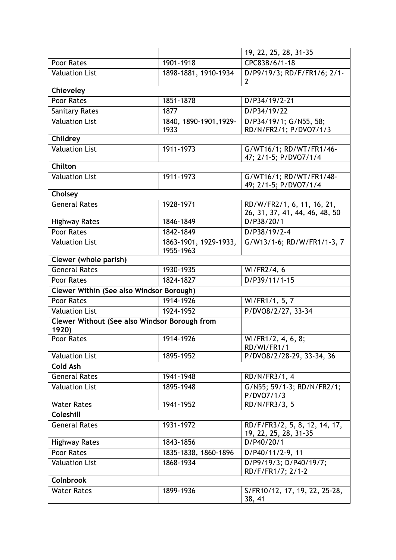|                                                        |                        | 19, 22, 25, 28, 31-35                            |
|--------------------------------------------------------|------------------------|--------------------------------------------------|
| Poor Rates                                             | 1901-1918              | CPC83B/6/1-18                                    |
| <b>Valuation List</b>                                  | 1898-1881, 1910-1934   | D/P9/19/3; RD/F/FR1/6; 2/1-                      |
|                                                        |                        | $\mathbf{2}$                                     |
| Chieveley                                              |                        |                                                  |
| Poor Rates                                             | 1851-1878              | D/P34/19/2-21                                    |
| <b>Sanitary Rates</b>                                  | 1877                   | D/P34/19/22                                      |
| <b>Valuation List</b>                                  | 1840, 1890-1901, 1929- | D/P34/19/1; G/N55, 58;                           |
| Childrey                                               | 1933                   | RD/N/FR2/1; P/DVO7/1/3                           |
| <b>Valuation List</b>                                  | 1911-1973              |                                                  |
|                                                        |                        | G/WT16/1; RD/WT/FR1/46-<br>47; 2/1-5; P/DVO7/1/4 |
| Chilton                                                |                        |                                                  |
| <b>Valuation List</b>                                  | 1911-1973              | G/WT16/1; RD/WT/FR1/48-                          |
|                                                        |                        | 49; 2/1-5; P/DVO7/1/4                            |
| Cholsey                                                |                        |                                                  |
| <b>General Rates</b>                                   | 1928-1971              | RD/W/FR2/1, 6, 11, 16, 21,                       |
|                                                        |                        | 26, 31, 37, 41, 44, 46, 48, 50                   |
| <b>Highway Rates</b>                                   | 1846-1849              | D/P38/20/1                                       |
| Poor Rates                                             | 1842-1849              | D/P38/19/2-4                                     |
| <b>Valuation List</b>                                  | 1863-1901, 1929-1933,  | G/W13/1-6; RD/W/FR1/1-3, 7                       |
|                                                        | 1955-1963              |                                                  |
| Clewer (whole parish)                                  |                        |                                                  |
| <b>General Rates</b>                                   | 1930-1935              | WI/FR2/4, 6                                      |
| Poor Rates                                             | 1824-1827              | D/P39/11/1-15                                    |
| <b>Clewer Within (See also Windsor Borough)</b>        |                        |                                                  |
| Poor Rates                                             | 1914-1926              | WI/FR1/1, 5, 7                                   |
| <b>Valuation List</b>                                  | 1924-1952              | P/DVO8/2/27, 33-34                               |
| Clewer Without (See also Windsor Borough from<br>1920) |                        |                                                  |
| Poor Rates                                             | 1914-1926              | WI/FR1/2, 4, 6, 8;                               |
|                                                        |                        | RD/WI/FR1/1                                      |
| <b>Valuation List</b>                                  | 1895-1952              | P/DVO8/2/28-29, 33-34, 36                        |
| <b>Cold Ash</b>                                        |                        |                                                  |
| <b>General Rates</b>                                   | 1941-1948              | RD/N/FR3/1, 4                                    |
| <b>Valuation List</b>                                  | 1895-1948              | G/N55; 59/1-3; RD/N/FR2/1;                       |
| <b>Water Rates</b>                                     | 1941-1952              | P/DVO7/1/3<br>RD/N/FR3/3, 5                      |
| Coleshill                                              |                        |                                                  |
| <b>General Rates</b>                                   | 1931-1972              | RD/F/FR3/2, 5, 8, 12, 14, 17,                    |
|                                                        |                        | 19, 22, 25, 28, 31-35                            |
| <b>Highway Rates</b>                                   | 1843-1856              | D/P40/20/1                                       |
| Poor Rates                                             | 1835-1838, 1860-1896   | D/P40/11/2-9, 11                                 |
| <b>Valuation List</b>                                  | 1868-1934              | D/P9/19/3; D/P40/19/7;                           |
|                                                        |                        | RD/F/FR1/7; 2/1-2                                |
| <b>Colnbrook</b>                                       |                        |                                                  |
| <b>Water Rates</b>                                     | 1899-1936              | S/FR10/12, 17, 19, 22, 25-28,                    |
|                                                        |                        | 38, 41                                           |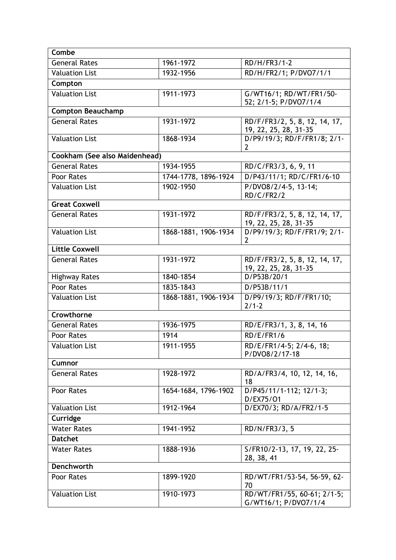| Combe                         |                      |                                                      |  |
|-------------------------------|----------------------|------------------------------------------------------|--|
| <b>General Rates</b>          | 1961-1972            | RD/H/FR3/1-2                                         |  |
| <b>Valuation List</b>         | 1932-1956            | RD/H/FR2/1; P/DVO7/1/1                               |  |
| Compton                       |                      |                                                      |  |
| <b>Valuation List</b>         | 1911-1973            | G/WT16/1; RD/WT/FR1/50-                              |  |
|                               |                      | 52; 2/1-5; P/DVO7/1/4                                |  |
| <b>Compton Beauchamp</b>      |                      |                                                      |  |
| <b>General Rates</b>          | 1931-1972            | RD/F/FR3/2, 5, 8, 12, 14, 17,                        |  |
| <b>Valuation List</b>         | 1868-1934            | 19, 22, 25, 28, 31-35<br>D/P9/19/3; RD/F/FR1/8; 2/1- |  |
|                               |                      | $\overline{2}$                                       |  |
| Cookham (See also Maidenhead) |                      |                                                      |  |
| <b>General Rates</b>          | 1934-1955            | RD/C/FR3/3, 6, 9, 11                                 |  |
| Poor Rates                    | 1744-1778, 1896-1924 | D/P43/11/1; RD/C/FR1/6-10                            |  |
| <b>Valuation List</b>         | 1902-1950            | P/DVO8/2/4-5, 13-14;                                 |  |
|                               |                      | RD/C/FR2/2                                           |  |
| <b>Great Coxwell</b>          |                      |                                                      |  |
| <b>General Rates</b>          | 1931-1972            | RD/F/FR3/2, 5, 8, 12, 14, 17,                        |  |
|                               |                      | 19, 22, 25, 28, 31-35                                |  |
| <b>Valuation List</b>         | 1868-1881, 1906-1934 | D/P9/19/3; RD/F/FR1/9; 2/1-<br>2                     |  |
| <b>Little Coxwell</b>         |                      |                                                      |  |
| <b>General Rates</b>          | 1931-1972            | RD/F/FR3/2, 5, 8, 12, 14, 17,                        |  |
|                               |                      | 19, 22, 25, 28, 31-35                                |  |
| <b>Highway Rates</b>          | 1840-1854            | D/P53B/20/1                                          |  |
| <b>Poor Rates</b>             | 1835-1843            | D/P53B/11/1                                          |  |
| <b>Valuation List</b>         | 1868-1881, 1906-1934 | D/P9/19/3; RD/F/FR1/10;                              |  |
|                               |                      | $2/1 - 2$                                            |  |
| Crowthorne                    |                      |                                                      |  |
| <b>General Rates</b>          | 1936-1975            | RD/E/FR3/1, 3, 8, 14, 16                             |  |
| Poor Rates                    | 1914                 | RD/E/FR1/6                                           |  |
| <b>Valuation List</b>         | $1911 - 1955$        | RD/E/FR1/4-5; 2/4-6, 18;                             |  |
|                               |                      | P/DVO8/2/17-18                                       |  |
| Cumnor                        |                      |                                                      |  |
| <b>General Rates</b>          | 1928-1972            | RD/A/FR3/4, 10, 12, 14, 16,<br>18                    |  |
| Poor Rates                    | 1654-1684, 1796-1902 | D/P45/11/1-112; 12/1-3;                              |  |
|                               |                      | D/EX75/01                                            |  |
| <b>Valuation List</b>         | 1912-1964            | D/EX70/3; RD/A/FR2/1-5                               |  |
| Curridge                      |                      |                                                      |  |
| <b>Water Rates</b>            | 1941-1952            | RD/N/FR3/3, 5                                        |  |
| <b>Datchet</b>                |                      |                                                      |  |
| <b>Water Rates</b>            | 1888-1936            | S/FR10/2-13, 17, 19, 22, 25-                         |  |
|                               |                      | 28, 38, 41                                           |  |
| Denchworth                    |                      |                                                      |  |
| Poor Rates                    | 1899-1920            | RD/WT/FR1/53-54, 56-59, 62-                          |  |
| <b>Valuation List</b>         | 1910-1973            | 70<br>RD/WT/FR1/55, 60-61; 2/1-5;                    |  |
|                               |                      | G/WT16/1; P/DVO7/1/4                                 |  |
|                               |                      |                                                      |  |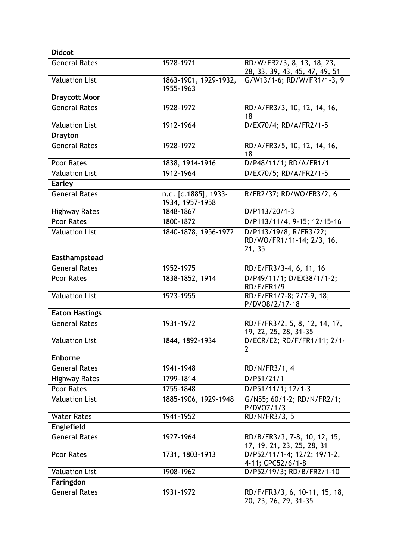| <b>Didcot</b>         |                                         |                                                               |
|-----------------------|-----------------------------------------|---------------------------------------------------------------|
| <b>General Rates</b>  | 1928-1971                               | RD/W/FR2/3, 8, 13, 18, 23,<br>28, 33, 39, 43, 45, 47, 49, 51  |
| <b>Valuation List</b> | 1863-1901, 1929-1932,<br>1955-1963      | G/W13/1-6; RD/W/FR1/1-3, 9                                    |
| <b>Draycott Moor</b>  |                                         |                                                               |
| <b>General Rates</b>  | 1928-1972                               | RD/A/FR3/3, 10, 12, 14, 16,<br>18                             |
| <b>Valuation List</b> | 1912-1964                               | D/EX70/4; RD/A/FR2/1-5                                        |
| <b>Drayton</b>        |                                         |                                                               |
| <b>General Rates</b>  | 1928-1972                               | RD/A/FR3/5, 10, 12, 14, 16,<br>18                             |
| Poor Rates            | 1838, 1914-1916                         | D/P48/11/1; RD/A/FR1/1                                        |
| <b>Valuation List</b> | 1912-1964                               | D/EX70/5; RD/A/FR2/1-5                                        |
| <b>Earley</b>         |                                         |                                                               |
| <b>General Rates</b>  | n.d. [c.1885], 1933-<br>1934, 1957-1958 | R/FR2/37; RD/WO/FR3/2, 6                                      |
| <b>Highway Rates</b>  | 1848-1867                               | D/P113/20/1-3                                                 |
| Poor Rates            | 1800-1872                               | D/P113/11/4, 9-15; 12/15-16                                   |
| <b>Valuation List</b> | 1840-1878, 1956-1972                    | D/P113/19/8; R/FR3/22;<br>RD/WO/FR1/11-14; 2/3, 16,<br>21, 35 |
| Easthampstead         |                                         |                                                               |
| <b>General Rates</b>  | 1952-1975                               | RD/E/FR3/3-4, 6, 11, 16                                       |
| Poor Rates            | 1838-1852, 1914                         | D/P49/11/1; D/EX38/1/1-2;<br>RD/E/FR1/9                       |
| <b>Valuation List</b> | 1923-1955                               | RD/E/FR1/7-8; 2/7-9, 18;<br>P/DVO8/2/17-18                    |
| <b>Eaton Hastings</b> |                                         |                                                               |
| <b>General Rates</b>  | 1931-1972                               | RD/F/FR3/2, 5, 8, 12, 14, 17,<br>19, 22, 25, 28, 31-35        |
| <b>Valuation List</b> | 1844, 1892-1934                         | D/ECR/E2; RD/F/FR1/11; 2/1-<br>2                              |
| Enborne               |                                         |                                                               |
| <b>General Rates</b>  | 1941-1948                               | RD/N/FR3/1, 4                                                 |
| <b>Highway Rates</b>  | 1799-1814                               | D/P51/21/1                                                    |
| Poor Rates            | 1755-1848                               | D/P51/11/1; 12/1-3                                            |
| <b>Valuation List</b> | 1885-1906, 1929-1948                    | G/N55; 60/1-2; RD/N/FR2/1;<br>P/DVO7/1/3                      |
| <b>Water Rates</b>    | 1941-1952                               | RD/N/FR3/3, 5                                                 |
| Englefield            |                                         |                                                               |
| <b>General Rates</b>  | 1927-1964                               | RD/B/FR3/3, 7-8, 10, 12, 15,<br>17, 19, 21, 23, 25, 28, 31    |
| Poor Rates            | 1731, 1803-1913                         | D/P52/11/1-4; 12/2; 19/1-2,<br>4-11; CPC52/6/1-8              |
| <b>Valuation List</b> | 1908-1962                               | D/P52/19/3; RD/B/FR2/1-10                                     |
| Faringdon             |                                         |                                                               |
| <b>General Rates</b>  | 1931-1972                               | RD/F/FR3/3, 6, 10-11, 15, 18,<br>20, 23; 26, 29, 31-35        |
|                       |                                         |                                                               |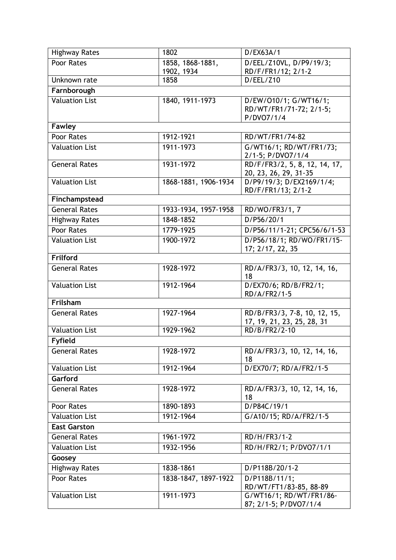| <b>Highway Rates</b>  | 1802                 | D/EX63A/1                                              |
|-----------------------|----------------------|--------------------------------------------------------|
| Poor Rates            | 1858, 1868-1881,     | D/EEL/Z10VL, D/P9/19/3;                                |
|                       | 1902, 1934           | RD/F/FR1/12; 2/1-2                                     |
| Unknown rate          | 1858                 | D/EEL/Z10                                              |
| Farnborough           |                      |                                                        |
| <b>Valuation List</b> | 1840, 1911-1973      | D/EW/010/1; G/WT16/1;                                  |
|                       |                      | RD/WT/FR1/71-72; 2/1-5;                                |
| <b>Fawley</b>         |                      | P/DVO7/1/4                                             |
| Poor Rates            | 1912-1921            | RD/WT/FR1/74-82                                        |
|                       |                      |                                                        |
| <b>Valuation List</b> | 1911-1973            | G/WT16/1; RD/WT/FR1/73;<br>2/1-5; P/DVO7/1/4           |
| <b>General Rates</b>  | 1931-1972            | RD/F/FR3/2, 5, 8, 12, 14, 17,<br>20, 23, 26, 29, 31-35 |
| <b>Valuation List</b> | 1868-1881, 1906-1934 | D/P9/19/3; D/EX2169/1/4;                               |
|                       |                      | RD/F/FR1/13; 2/1-2                                     |
| Finchampstead         |                      |                                                        |
| <b>General Rates</b>  | 1933-1934, 1957-1958 | RD/WO/FR3/1, 7                                         |
| <b>Highway Rates</b>  | 1848-1852            | D/P56/20/1                                             |
| Poor Rates            | 1779-1925            | D/P56/11/1-21; CPC56/6/1-53                            |
| <b>Valuation List</b> | 1900-1972            | D/P56/18/1; RD/WO/FR1/15-<br>17; 2/17, 22, 35          |
| Frilford              |                      |                                                        |
| <b>General Rates</b>  | 1928-1972            | RD/A/FR3/3, 10, 12, 14, 16,<br>18                      |
| <b>Valuation List</b> | 1912-1964            | D/EX70/6; RD/B/FR2/1;<br>RD/A/FR2/1-5                  |
| Frilsham              |                      |                                                        |
| <b>General Rates</b>  | 1927-1964            | RD/B/FR3/3, 7-8, 10, 12, 15,                           |
|                       |                      | 17, 19, 21, 23, 25, 28, 31                             |
| <b>Valuation List</b> | 1929-1962            | RD/B/FR2/2-10                                          |
| <b>Fyfield</b>        |                      |                                                        |
| <b>General Rates</b>  | 1928-1972            | RD/A/FR3/3, 10, 12, 14, 16,                            |
| <b>Valuation List</b> | 1912-1964            | 18<br>D/EX70/7; RD/A/FR2/1-5                           |
| Garford               |                      |                                                        |
|                       |                      |                                                        |
| <b>General Rates</b>  | 1928-1972            | RD/A/FR3/3, 10, 12, 14, 16,<br>18                      |
| Poor Rates            | 1890-1893            | D/P84C/19/1                                            |
| <b>Valuation List</b> | 1912-1964            | G/A10/15; RD/A/FR2/1-5                                 |
| <b>East Garston</b>   |                      |                                                        |
| General Rates         | 1961-1972            | RD/H/FR3/1-2                                           |
| <b>Valuation List</b> | 1932-1956            | RD/H/FR2/1; P/DVO7/1/1                                 |
| Goosey                |                      |                                                        |
| <b>Highway Rates</b>  | 1838-1861            | D/P118B/20/1-2                                         |
| Poor Rates            | 1838-1847, 1897-1922 | D/P118B/11/1;                                          |
|                       |                      | RD/WT/FT1/83-85, 88-89                                 |
| <b>Valuation List</b> | 1911-1973            | G/WT16/1; RD/WT/FR1/86-                                |
|                       |                      | 87; 2/1-5; P/DVO7/1/4                                  |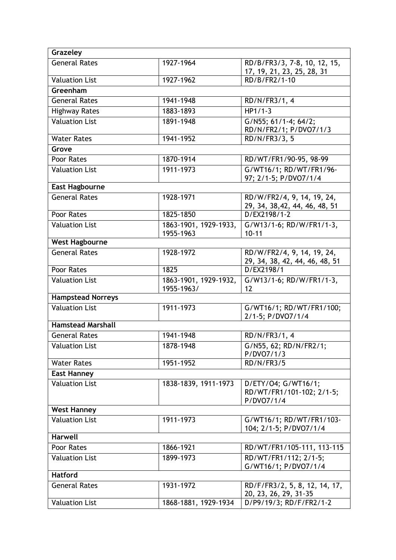| Grazeley                 |                                     |                                                                |
|--------------------------|-------------------------------------|----------------------------------------------------------------|
| <b>General Rates</b>     | 1927-1964                           | RD/B/FR3/3, 7-8, 10, 12, 15,<br>17, 19, 21, 23, 25, 28, 31     |
| <b>Valuation List</b>    | 1927-1962                           | RD/B/FR2/1-10                                                  |
| Greenham                 |                                     |                                                                |
| <b>General Rates</b>     | 1941-1948                           | RD/N/FR3/1, 4                                                  |
| <b>Highway Rates</b>     | 1883-1893                           | $HP1/1-3$                                                      |
| <b>Valuation List</b>    | 1891-1948                           | G/N55; 61/1-4; 64/2;<br>RD/N/FR2/1; P/DVO7/1/3                 |
| <b>Water Rates</b>       | 1941-1952                           | RD/N/FR3/3, 5                                                  |
| Grove                    |                                     |                                                                |
| Poor Rates               | 1870-1914                           | RD/WT/FR1/90-95, 98-99                                         |
| <b>Valuation List</b>    | 1911-1973                           | G/WT16/1; RD/WT/FR1/96-<br>97; 2/1-5; P/DVO7/1/4               |
| <b>East Hagbourne</b>    |                                     |                                                                |
| <b>General Rates</b>     | 1928-1971                           | RD/W/FR2/4, 9, 14, 19, 24,<br>29, 34, 38, 42, 44, 46, 48, 51   |
| Poor Rates               | 1825-1850                           | D/EX2198/1-2                                                   |
| <b>Valuation List</b>    | 1863-1901, 1929-1933,<br>1955-1963  | G/W13/1-6; RD/W/FR1/1-3,<br>$10 - 11$                          |
| <b>West Hagbourne</b>    |                                     |                                                                |
| <b>General Rates</b>     | 1928-1972                           | RD/W/FR2/4, 9, 14, 19, 24,<br>29, 34, 38, 42, 44, 46, 48, 51   |
| Poor Rates               | 1825                                | D/EX2198/1                                                     |
| <b>Valuation List</b>    | 1863-1901, 1929-1932,<br>1955-1963/ | G/W13/1-6; RD/W/FR1/1-3,<br>12                                 |
| <b>Hampstead Norreys</b> |                                     |                                                                |
| <b>Valuation List</b>    | 1911-1973                           | G/WT16/1; RD/WT/FR1/100;<br>2/1-5; P/DVO7/1/4                  |
| <b>Hamstead Marshall</b> |                                     |                                                                |
| <b>General Rates</b>     | 1941-1948                           | RD/N/FR3/1, 4                                                  |
| Valuation List           | 1878-1948                           | G/N55, 62; RD/N/FR2/1;<br>P/DVO7/1/3                           |
| <b>Water Rates</b>       | 1951-1952                           | <b>RD/N/FR3/5</b>                                              |
| <b>East Hanney</b>       |                                     |                                                                |
| <b>Valuation List</b>    | 1838-1839, 1911-1973                | D/ETY/04; G/WT16/1;<br>RD/WT/FR1/101-102; 2/1-5;<br>P/DVO7/1/4 |
| <b>West Hanney</b>       |                                     |                                                                |
| <b>Valuation List</b>    | 1911-1973                           | G/WT16/1; RD/WT/FR1/103-<br>104; 2/1-5; P/DVO7/1/4             |
| <b>Harwell</b>           |                                     |                                                                |
| Poor Rates               | 1866-1921                           | RD/WT/FR1/105-111, 113-115                                     |
| <b>Valuation List</b>    | 1899-1973                           | RD/WT/FR1/112; 2/1-5;<br>G/WT16/1; P/DVO7/1/4                  |
| <b>Hatford</b>           |                                     |                                                                |
| <b>General Rates</b>     | 1931-1972                           | RD/F/FR3/2, 5, 8, 12, 14, 17,<br>20, 23, 26, 29, 31-35         |
| <b>Valuation List</b>    | 1868-1881, 1929-1934                | D/P9/19/3; RD/F/FR2/1-2                                        |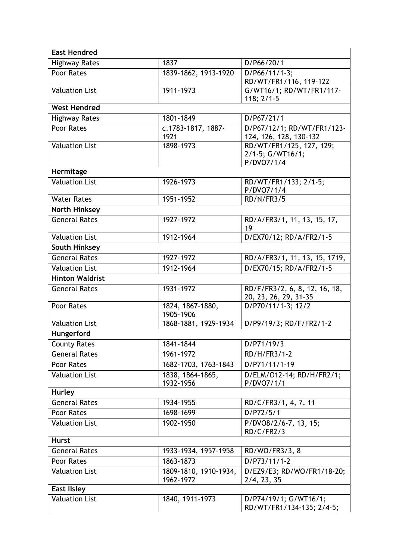| <b>East Hendred</b>    |                                    |                                                            |
|------------------------|------------------------------------|------------------------------------------------------------|
| <b>Highway Rates</b>   | 1837                               | D/P66/20/1                                                 |
| Poor Rates             | 1839-1862, 1913-1920               | $D/P66/11/1-3;$<br>RD/WT/FR1/116, 119-122                  |
| <b>Valuation List</b>  | 1911-1973                          | G/WT16/1; RD/WT/FR1/117-<br>$118; 2/1-5$                   |
| <b>West Hendred</b>    |                                    |                                                            |
| <b>Highway Rates</b>   | 1801-1849                          | D/P67/21/1                                                 |
| Poor Rates             | c.1783-1817, 1887-<br>1921         | D/P67/12/1; RD/WT/FR1/123-<br>124, 126, 128, 130-132       |
| <b>Valuation List</b>  | 1898-1973                          | RD/WT/FR1/125, 127, 129;<br>2/1-5; G/WT16/1;<br>P/DVO7/1/4 |
| Hermitage              |                                    |                                                            |
| <b>Valuation List</b>  | 1926-1973                          | RD/WT/FR1/133; 2/1-5;<br>P/DVO7/1/4                        |
| <b>Water Rates</b>     | 1951-1952                          | <b>RD/N/FR3/5</b>                                          |
| <b>North Hinksey</b>   |                                    |                                                            |
| <b>General Rates</b>   | 1927-1972                          | RD/A/FR3/1, 11, 13, 15, 17,<br>19                          |
| <b>Valuation List</b>  | 1912-1964                          | D/EX70/12; RD/A/FR2/1-5                                    |
| <b>South Hinksey</b>   |                                    |                                                            |
| <b>General Rates</b>   | 1927-1972                          | RD/A/FR3/1, 11, 13, 15, 1719,                              |
| <b>Valuation List</b>  | 1912-1964                          | D/EX70/15; RD/A/FR2/1-5                                    |
| <b>Hinton Waldrist</b> |                                    |                                                            |
| <b>General Rates</b>   | 1931-1972                          | RD/F/FR3/2, 6, 8, 12, 16, 18,<br>20, 23, 26, 29, 31-35     |
| Poor Rates             | 1824, 1867-1880,<br>1905-1906      | D/P70/11/1-3; 12/2                                         |
| <b>Valuation List</b>  | 1868-1881, 1929-1934               | D/P9/19/3; RD/F/FR2/1-2                                    |
| Hungerford             |                                    |                                                            |
| <b>County Rates</b>    | 1841-1844                          | D/P71/19/3                                                 |
| <b>General Rates</b>   | 1961-1972                          | RD/H/FR3/1-2                                               |
| Poor Rates             | 1682-1703, 1763-1843               | D/P71/11/1-19                                              |
| <b>Valuation List</b>  | 1838, 1864-1865,<br>1932-1956      | D/ELM/012-14; RD/H/FR2/1;<br>P/DVO7/1/1                    |
| <b>Hurley</b>          |                                    |                                                            |
| <b>General Rates</b>   | 1934-1955                          | RD/C/FR3/1, 4, 7, 11                                       |
| Poor Rates             | 1698-1699                          | D/P72/5/1                                                  |
| <b>Valuation List</b>  | 1902-1950                          | P/DVO8/2/6-7, 13, 15;<br>RD/C/FR2/3                        |
| <b>Hurst</b>           |                                    |                                                            |
| <b>General Rates</b>   | 1933-1934, 1957-1958               | RD/WO/FR3/3, 8                                             |
| Poor Rates             | 1863-1873                          | D/P73/11/1-2                                               |
| <b>Valuation List</b>  | 1809-1810, 1910-1934,<br>1962-1972 | D/EZ9/E3; RD/WO/FR1/18-20;<br>2/4, 23, 35                  |
| <b>East Ilsley</b>     |                                    |                                                            |
| <b>Valuation List</b>  | 1840, 1911-1973                    | D/P74/19/1; G/WT16/1;<br>RD/WT/FR1/134-135; 2/4-5;         |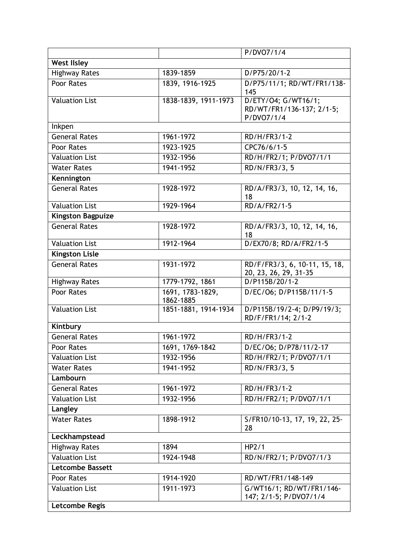|                          |                               | P/DVO7/1/4                                                     |
|--------------------------|-------------------------------|----------------------------------------------------------------|
| <b>West Ilsley</b>       |                               |                                                                |
| <b>Highway Rates</b>     | 1839-1859                     | $D/P75/20/1-2$                                                 |
| Poor Rates               | 1839, 1916-1925               | D/P75/11/1; RD/WT/FR1/138-<br>145                              |
| <b>Valuation List</b>    | 1838-1839, 1911-1973          | D/ETY/04; G/WT16/1;<br>RD/WT/FR1/136-137; 2/1-5;<br>P/DVO7/1/4 |
| Inkpen                   |                               |                                                                |
| <b>General Rates</b>     | 1961-1972                     | RD/H/FR3/1-2                                                   |
| Poor Rates               | 1923-1925                     | CPC76/6/1-5                                                    |
| <b>Valuation List</b>    | 1932-1956                     | RD/H/FR2/1; P/DVO7/1/1                                         |
| <b>Water Rates</b>       | 1941-1952                     | RD/N/FR3/3, 5                                                  |
| Kennington               |                               |                                                                |
| <b>General Rates</b>     | 1928-1972                     | RD/A/FR3/3, 10, 12, 14, 16,<br>18                              |
| <b>Valuation List</b>    | 1929-1964                     | $R D/A/FR2/1-5$                                                |
| <b>Kingston Bagpuize</b> |                               |                                                                |
| <b>General Rates</b>     | 1928-1972                     | RD/A/FR3/3, 10, 12, 14, 16,<br>18                              |
| <b>Valuation List</b>    | 1912-1964                     | D/EX70/8; RD/A/FR2/1-5                                         |
| <b>Kingston Lisle</b>    |                               |                                                                |
| <b>General Rates</b>     | 1931-1972                     | RD/F/FR3/3, 6, 10-11, 15, 18,<br>20, 23, 26, 29, 31-35         |
| <b>Highway Rates</b>     | 1779-1792, 1861               | D/P115B/20/1-2                                                 |
| Poor Rates               | 1691, 1783-1829,<br>1862-1885 | D/EC/O6; D/P115B/11/1-5                                        |
| <b>Valuation List</b>    | 1851-1881, 1914-1934          | D/P115B/19/2-4; D/P9/19/3;<br>RD/F/FR1/14; 2/1-2               |
| Kintbury                 |                               |                                                                |
| General Rates            | 1961-1972                     | RD/H/FR3/1-2                                                   |
| Poor Rates               | 1691, 1769-1842               | D/EC/O6; D/P78/11/2-17                                         |
| <b>Valuation List</b>    | 1932-1956                     | RD/H/FR2/1; P/DVO7/1/1                                         |
| <b>Water Rates</b>       | 1941-1952                     | RD/N/FR3/3, 5                                                  |
| Lambourn                 |                               |                                                                |
| <b>General Rates</b>     | 1961-1972                     | $RD/H/FR3/1-2$                                                 |
| <b>Valuation List</b>    | 1932-1956                     | RD/H/FR2/1; P/DVO7/1/1                                         |
| Langley                  |                               |                                                                |
| <b>Water Rates</b>       | 1898-1912                     | S/FR10/10-13, 17, 19, 22, 25-<br>28                            |
| Leckhampstead            |                               |                                                                |
| <b>Highway Rates</b>     | 1894                          | HP2/1                                                          |
| <b>Valuation List</b>    | 1924-1948                     | RD/N/FR2/1; P/DVO7/1/3                                         |
| <b>Letcombe Bassett</b>  |                               |                                                                |
| Poor Rates               | 1914-1920                     | RD/WT/FR1/148-149                                              |
| <b>Valuation List</b>    | 1911-1973                     | G/WT16/1; RD/WT/FR1/146-<br>147; 2/1-5; P/DVO7/1/4             |
| Letcombe Regis           |                               |                                                                |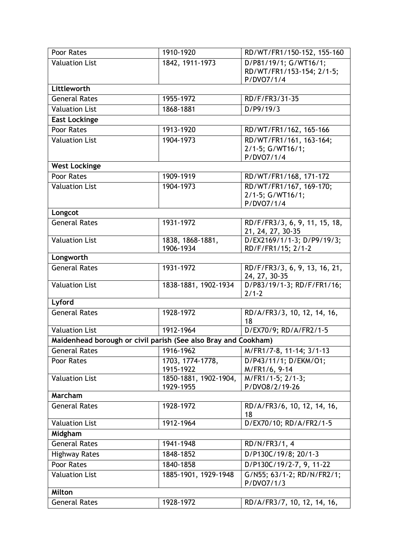| Poor Rates                                                     | 1910-1920                          | RD/WT/FR1/150-152, 155-160                                       |
|----------------------------------------------------------------|------------------------------------|------------------------------------------------------------------|
| <b>Valuation List</b>                                          | 1842, 1911-1973                    | D/P81/19/1; G/WT16/1;<br>RD/WT/FR1/153-154; 2/1-5;<br>P/DVO7/1/4 |
| Littleworth                                                    |                                    |                                                                  |
| General Rates                                                  | 1955-1972                          | RD/F/FR3/31-35                                                   |
| <b>Valuation List</b>                                          | 1868-1881                          | D/P9/19/3                                                        |
| <b>East Lockinge</b>                                           |                                    |                                                                  |
| Poor Rates                                                     | 1913-1920                          | RD/WT/FR1/162, 165-166                                           |
| <b>Valuation List</b>                                          | 1904-1973                          | RD/WT/FR1/161, 163-164;                                          |
|                                                                |                                    | 2/1-5; G/WT16/1;<br>P/DVO7/1/4                                   |
| <b>West Lockinge</b>                                           |                                    |                                                                  |
| Poor Rates                                                     | 1909-1919                          | RD/WT/FR1/168, 171-172                                           |
| <b>Valuation List</b>                                          | 1904-1973                          | RD/WT/FR1/167, 169-170;<br>2/1-5; G/WT16/1;<br>P/DVO7/1/4        |
| Longcot                                                        |                                    |                                                                  |
| <b>General Rates</b>                                           | 1931-1972                          | RD/F/FR3/3, 6, 9, 11, 15, 18,<br>21, 24, 27, 30-35               |
| <b>Valuation List</b>                                          | 1838, 1868-1881,                   | D/EX2169/1/1-3; D/P9/19/3;                                       |
| Longworth                                                      | 1906-1934                          | RD/F/FR1/15; 2/1-2                                               |
|                                                                |                                    |                                                                  |
| <b>General Rates</b>                                           | 1931-1972                          | RD/F/FR3/3, 6, 9, 13, 16, 21,<br>24, 27, 30-35                   |
| <b>Valuation List</b>                                          | 1838-1881, 1902-1934               | D/P83/19/1-3; RD/F/FR1/16;<br>$2/1 - 2$                          |
| Lyford                                                         |                                    |                                                                  |
| <b>General Rates</b>                                           | 1928-1972                          | RD/A/FR3/3, 10, 12, 14, 16,<br>18                                |
| <b>Valuation List</b>                                          | 1912-1964                          | D/EX70/9; RD/A/FR2/1-5                                           |
| Maidenhead borough or civil parish (See also Bray and Cookham) |                                    |                                                                  |
| <b>General Rates</b>                                           | 1916-1962                          | M/FR1/7-8, 11-14; 3/1-13                                         |
| Poor Rates                                                     | 1703, 1774-1778,<br>1915-1922      | D/P43/11/1; D/EKM/O1;<br>M/FR1/6, 9-14                           |
| <b>Valuation List</b>                                          | 1850-1881, 1902-1904,<br>1929-1955 | M/FR1/1-5; 2/1-3;<br>P/DVO8/2/19-26                              |
| Marcham                                                        |                                    |                                                                  |
| <b>General Rates</b>                                           | 1928-1972                          | RD/A/FR3/6, 10, 12, 14, 16,<br>18                                |
| <b>Valuation List</b>                                          | 1912-1964                          | D/EX70/10; RD/A/FR2/1-5                                          |
| Midgham                                                        |                                    |                                                                  |
| <b>General Rates</b>                                           | 1941-1948                          | RD/N/FR3/1, 4                                                    |
| <b>Highway Rates</b>                                           | 1848-1852                          | D/P130C/19/8; 20/1-3                                             |
| Poor Rates                                                     | 1840-1858                          | D/P130C/19/2-7, 9, 11-22                                         |
| <b>Valuation List</b>                                          | 1885-1901, 1929-1948               | G/N55; 63/1-2; RD/N/FR2/1;<br>P/DVO7/1/3                         |
| Milton                                                         |                                    |                                                                  |
| <b>General Rates</b>                                           | 1928-1972                          | RD/A/FR3/7, 10, 12, 14, 16,                                      |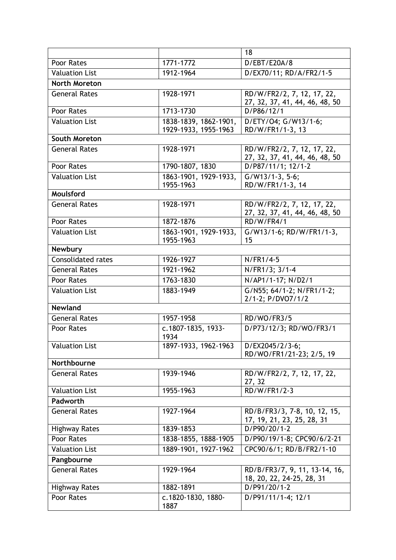|                           |                            | 18                                             |
|---------------------------|----------------------------|------------------------------------------------|
| Poor Rates                | 1771-1772                  | D/EBT/E20A/8                                   |
| <b>Valuation List</b>     | 1912-1964                  | D/EX70/11; RD/A/FR2/1-5                        |
| <b>North Moreton</b>      |                            |                                                |
| <b>General Rates</b>      | 1928-1971                  | RD/W/FR2/2, 7, 12, 17, 22,                     |
|                           |                            | 27, 32, 37, 41, 44, 46, 48, 50                 |
| Poor Rates                | 1713-1730                  | D/P86/12/1                                     |
| <b>Valuation List</b>     | 1838-1839, 1862-1901,      | D/ETY/04; G/W13/1-6;                           |
| South Moreton             | 1929-1933, 1955-1963       | RD/W/FR1/1-3, 13                               |
| <b>General Rates</b>      | 1928-1971                  | RD/W/FR2/2, 7, 12, 17, 22,                     |
|                           |                            | 27, 32, 37, 41, 44, 46, 48, 50                 |
| Poor Rates                | 1790-1807, 1830            | D/P87/11/1; 12/1-2                             |
| <b>Valuation List</b>     | 1863-1901, 1929-1933,      | $G/W13/1-3, 5-6;$                              |
|                           | 1955-1963                  | RD/W/FR1/1-3, 14                               |
| Moulsford                 |                            |                                                |
| <b>General Rates</b>      | 1928-1971                  | RD/W/FR2/2, 7, 12, 17, 22,                     |
| Poor Rates                | 1872-1876                  | 27, 32, 37, 41, 44, 46, 48, 50<br>RD/W/FR4/1   |
| <b>Valuation List</b>     | 1863-1901, 1929-1933,      | G/W13/1-6; RD/W/FR1/1-3,                       |
|                           | 1955-1963                  | 15                                             |
| <b>Newbury</b>            |                            |                                                |
| <b>Consolidated rates</b> | 1926-1927                  | N/FR1/4-5                                      |
| <b>General Rates</b>      | 1921-1962                  | N/FR1/3; 3/1-4                                 |
| Poor Rates                | 1763-1830                  | N/AP1/1-17; N/D2/1                             |
| <b>Valuation List</b>     | 1883-1949                  | G/N55; 64/1-2; N/FR1/1-2;<br>2/1-2; P/DVO7/1/2 |
| <b>Newland</b>            |                            |                                                |
| <b>General Rates</b>      | 1957-1958                  | RD/WO/FR3/5                                    |
| Poor Rates                | c.1807-1835, 1933-<br>1934 | D/P73/12/3; RD/WO/FR3/1                        |
| <b>Valuation List</b>     | 1897-1933, 1962-1963       | $D/EX2045/2/3-6;$                              |
|                           |                            | RD/WO/FR1/21-23; 2/5, 19                       |
| Northbourne               |                            |                                                |
| <b>General Rates</b>      | 1939-1946                  | RD/W/FR2/2, 7, 12, 17, 22,<br>27, 32           |
| <b>Valuation List</b>     | 1955-1963                  | RD/W/FR1/2-3                                   |
| Padworth                  |                            |                                                |
| <b>General Rates</b>      | 1927-1964                  | RD/B/FR3/3, 7-8, 10, 12, 15,                   |
|                           |                            | 17, 19, 21, 23, 25, 28, 31                     |
| <b>Highway Rates</b>      | 1839-1853                  | D/P90/20/1-2                                   |
| Poor Rates                | 1838-1855, 1888-1905       | D/P90/19/1-8; CPC90/6/2-21                     |
| <b>Valuation List</b>     | 1889-1901, 1927-1962       | CPC90/6/1; RD/B/FR2/1-10                       |
| Pangbourne                |                            |                                                |
| <b>General Rates</b>      | 1929-1964                  | RD/B/FR3/7, 9, 11, 13-14, 16,                  |
|                           |                            | 18, 20, 22, 24-25, 28, 31                      |
| <b>Highway Rates</b>      | 1882-1891                  | D/P91/20/1-2                                   |
| Poor Rates                | c.1820-1830, 1880-<br>1887 | D/P91/11/1-4; 12/1                             |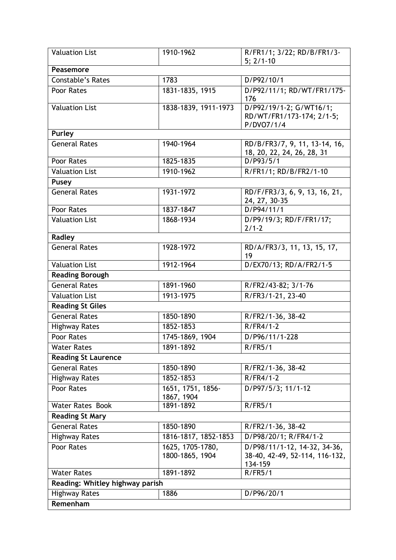| <b>Valuation List</b>           | 1910-1962                           | R/FR1/1; 3/22; RD/B/FR1/3-<br>$5; 2/1-10$                                 |
|---------------------------------|-------------------------------------|---------------------------------------------------------------------------|
| Peasemore                       |                                     |                                                                           |
| Constable's Rates               | 1783                                | D/P92/10/1                                                                |
| Poor Rates                      | 1831-1835, 1915                     | D/P92/11/1; RD/WT/FR1/175-<br>176                                         |
| <b>Valuation List</b>           | 1838-1839, 1911-1973                | D/P92/19/1-2; G/WT16/1;<br>RD/WT/FR1/173-174; 2/1-5;<br>P/DVO7/1/4        |
| <b>Purley</b>                   |                                     |                                                                           |
| <b>General Rates</b>            | 1940-1964                           | RD/B/FR3/7, 9, 11, 13-14, 16,<br>18, 20, 22, 24, 26, 28, 31               |
| Poor Rates                      | 1825-1835                           | D/P93/5/1                                                                 |
| <b>Valuation List</b>           | 1910-1962                           | R/FR1/1; RD/B/FR2/1-10                                                    |
| <b>Pusey</b>                    |                                     |                                                                           |
| <b>General Rates</b>            | 1931-1972                           | RD/F/FR3/3, 6, 9, 13, 16, 21,<br>24, 27, 30-35                            |
| Poor Rates                      | 1837-1847                           | D/P94/11/1                                                                |
| <b>Valuation List</b>           | 1868-1934                           | D/P9/19/3; RD/F/FR1/17;<br>$2/1 - 2$                                      |
| Radley                          |                                     |                                                                           |
| <b>General Rates</b>            | 1928-1972                           | RD/A/FR3/3, 11, 13, 15, 17,<br>19                                         |
| <b>Valuation List</b>           | 1912-1964                           | D/EX70/13; RD/A/FR2/1-5                                                   |
| <b>Reading Borough</b>          |                                     |                                                                           |
| <b>General Rates</b>            | 1891-1960                           | R/FR2/43-82; 3/1-76                                                       |
| <b>Valuation List</b>           | 1913-1975                           | R/FR3/1-21, 23-40                                                         |
| <b>Reading St Giles</b>         |                                     |                                                                           |
| <b>General Rates</b>            | 1850-1890                           | R/FR2/1-36, 38-42                                                         |
| <b>Highway Rates</b>            | 1852-1853                           | $R/FR4/1-2$                                                               |
| Poor Rates                      | 1745-1869, 1904                     | D/P96/11/1-228                                                            |
| <b>Water Rates</b>              | 1891-1892                           | R/FR5/1                                                                   |
| <b>Reading St Laurence</b>      |                                     |                                                                           |
| <b>General Rates</b>            | 1850-1890                           | R/FR2/1-36, 38-42                                                         |
| <b>Highway Rates</b>            | 1852-1853                           | $R/FR4/1-2$                                                               |
| Poor Rates                      | 1651, 1751, 1856-<br>1867, 1904     | D/P97/5/3; 11/1-12                                                        |
| <b>Water Rates Book</b>         | 1891-1892                           | R/FR5/1                                                                   |
| <b>Reading St Mary</b>          |                                     |                                                                           |
| <b>General Rates</b>            | 1850-1890                           | R/FR2/1-36, 38-42                                                         |
| <b>Highway Rates</b>            | 1816-1817, 1852-1853                | D/P98/20/1; R/FR4/1-2                                                     |
| Poor Rates                      | 1625, 1705-1780,<br>1800-1865, 1904 | D/P98/11/1-12, 14-32, 34-36,<br>38-40, 42-49, 52-114, 116-132,<br>134-159 |
| <b>Water Rates</b>              | 1891-1892                           | R/FR5/1                                                                   |
| Reading: Whitley highway parish |                                     |                                                                           |
| <b>Highway Rates</b>            | 1886                                | D/P96/20/1                                                                |
| Remenham                        |                                     |                                                                           |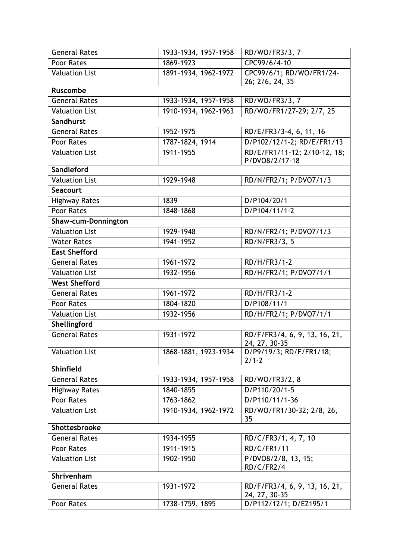| <b>General Rates</b>  | 1933-1934, 1957-1958 | RD/WO/FR3/3, 7                                 |
|-----------------------|----------------------|------------------------------------------------|
| Poor Rates            | 1869-1923            | CPC99/6/4-10                                   |
| <b>Valuation List</b> | 1891-1934, 1962-1972 | CPC99/6/1; RD/WO/FR1/24-<br>26; 2/6, 24, 35    |
| <b>Ruscombe</b>       |                      |                                                |
| <b>General Rates</b>  | 1933-1934, 1957-1958 | RD/WO/FR3/3, 7                                 |
| <b>Valuation List</b> | 1910-1934, 1962-1963 | RD/WO/FR1/27-29; 2/7, 25                       |
| Sandhurst             |                      |                                                |
| <b>General Rates</b>  | 1952-1975            | RD/E/FR3/3-4, 6, 11, 16                        |
| Poor Rates            | 1787-1824, 1914      | D/P102/12/1-2; RD/E/FR1/13                     |
| <b>Valuation List</b> | $1911 - 1955$        | RD/E/FR1/11-12; 2/10-12, 18;                   |
| Sandleford            |                      | P/DVO8/2/17-18                                 |
| <b>Valuation List</b> | 1929-1948            | RD/N/FR2/1; P/DVO7/1/3                         |
| <b>Seacourt</b>       |                      |                                                |
|                       | 1839                 | D/P104/20/1                                    |
| <b>Highway Rates</b>  |                      |                                                |
| <b>Poor Rates</b>     | 1848-1868            | D/P104/11/1-2                                  |
| Shaw-cum-Donnington   |                      |                                                |
| <b>Valuation List</b> | 1929-1948            | RD/N/FR2/1; P/DVO7/1/3                         |
| <b>Water Rates</b>    | 1941-1952            | RD/N/FR3/3, 5                                  |
| <b>East Shefford</b>  |                      |                                                |
| <b>General Rates</b>  | 1961-1972            | RD/H/FR3/1-2                                   |
| <b>Valuation List</b> | 1932-1956            | RD/H/FR2/1; P/DVO7/1/1                         |
| <b>West Shefford</b>  |                      |                                                |
| <b>General Rates</b>  | 1961-1972            | RD/H/FR3/1-2                                   |
| Poor Rates            | 1804-1820            | D/P108/11/1                                    |
| <b>Valuation List</b> | 1932-1956            | RD/H/FR2/1; P/DVO7/1/1                         |
| Shellingford          |                      |                                                |
| <b>General Rates</b>  | 1931-1972            | RD/F/FR3/4, 6, 9, 13, 16, 21,<br>24, 27, 30-35 |
| <b>Valuation List</b> | 1868-1881, 1923-1934 | D/P9/19/3; RD/F/FR1/18;<br>$2/1 - 2$           |
| <b>Shinfield</b>      |                      |                                                |
| <b>General Rates</b>  | 1933-1934, 1957-1958 | RD/WO/FR3/2, 8                                 |
| <b>Highway Rates</b>  | 1840-1855            | D/P110/20/1-5                                  |
| Poor Rates            | 1763-1862            | D/P110/11/1-36                                 |
| <b>Valuation List</b> | 1910-1934, 1962-1972 | RD/WO/FR1/30-32; 2/8, 26,                      |
|                       |                      | 35                                             |
| Shottesbrooke         |                      |                                                |
| General Rates         | 1934-1955            | RD/C/FR3/1, 4, 7, 10                           |
| Poor Rates            | 1911-1915            | RD/C/FR1/11                                    |
| <b>Valuation List</b> | 1902-1950            | P/DVO8/2/8, 13, 15;<br>RD/C/FR2/4              |
| Shrivenham            |                      |                                                |
| <b>General Rates</b>  | 1931-1972            | RD/F/FR3/4, 6, 9, 13, 16, 21,<br>24, 27, 30-35 |
| Poor Rates            | 1738-1759, 1895      | D/P112/12/1; D/EZ195/1                         |
|                       |                      |                                                |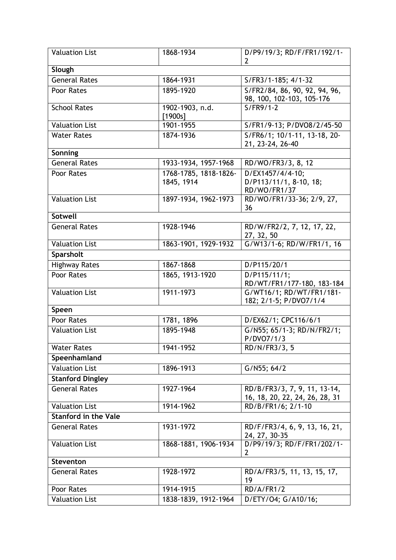| <b>Valuation List</b>       | 1868-1934                           | D/P9/19/3; RD/F/FR1/192/1-<br>2                                |
|-----------------------------|-------------------------------------|----------------------------------------------------------------|
| Slough                      |                                     |                                                                |
| <b>General Rates</b>        | 1864-1931                           | S/FR3/1-185; 4/1-32                                            |
| Poor Rates                  | 1895-1920                           | S/FR2/84, 86, 90, 92, 94, 96,<br>98, 100, 102-103, 105-176     |
| <b>School Rates</b>         | 1902-1903, n.d.<br>[1900s]          | $S/FR9/1-2$                                                    |
| <b>Valuation List</b>       | 1901-1955                           | S/FR1/9-13; P/DVO8/2/45-50                                     |
| <b>Water Rates</b>          | 1874-1936                           | S/FR6/1; 10/1-11, 13-18, 20-<br>21, 23-24, 26-40               |
| Sonning                     |                                     |                                                                |
| <b>General Rates</b>        | 1933-1934, 1957-1968                | RD/WO/FR3/3, 8, 12                                             |
| Poor Rates                  | 1768-1785, 1818-1826-<br>1845, 1914 | D/EX1457/4/4-10;<br>D/P113/11/1, 8-10, 18;<br>RD/WO/FR1/37     |
| <b>Valuation List</b>       | 1897-1934, 1962-1973                | RD/WO/FR1/33-36; 2/9, 27,<br>36                                |
| <b>Sotwell</b>              |                                     |                                                                |
| <b>General Rates</b>        | 1928-1946                           | RD/W/FR2/2, 7, 12, 17, 22,<br>27, 32, 50                       |
| <b>Valuation List</b>       | 1863-1901, 1929-1932                | G/W13/1-6; RD/W/FR1/1, 16                                      |
| Sparsholt                   |                                     |                                                                |
| <b>Highway Rates</b>        | 1867-1868                           | D/P115/20/1                                                    |
| Poor Rates                  | 1865, 1913-1920                     | D/P115/11/1;<br>RD/WT/FR1/177-180, 183-184                     |
| <b>Valuation List</b>       | 1911-1973                           | G/WT16/1; RD/WT/FR1/181-<br>182; 2/1-5; P/DVO7/1/4             |
| Speen                       |                                     |                                                                |
| Poor Rates                  | 1781, 1896                          | D/EX62/1; CPC116/6/1                                           |
| <b>Valuation List</b>       | 1895-1948                           | G/N55; 65/1-3; RD/N/FR2/1;<br>P/DVO7/1/3                       |
| <b>Water Rates</b>          | 1941-1952                           | RD/N/FR3/3, 5                                                  |
| Speenhamland                |                                     |                                                                |
| <b>Valuation List</b>       | 1896-1913                           | G/N55; 64/2                                                    |
| <b>Stanford Dingley</b>     |                                     |                                                                |
| <b>General Rates</b>        | 1927-1964                           | RD/B/FR3/3, 7, 9, 11, 13-14,<br>16, 18, 20, 22, 24, 26, 28, 31 |
| <b>Valuation List</b>       | 1914-1962                           | RD/B/FR1/6; 2/1-10                                             |
| <b>Stanford in the Vale</b> |                                     |                                                                |
| <b>General Rates</b>        | 1931-1972                           | RD/F/FR3/4, 6, 9, 13, 16, 21,<br>24, 27, 30-35                 |
| <b>Valuation List</b>       | 1868-1881, 1906-1934                | D/P9/19/3; RD/F/FR1/202/1-<br>$\overline{2}$                   |
| <b>Steventon</b>            |                                     |                                                                |
| <b>General Rates</b>        | 1928-1972                           | RD/A/FR3/5, 11, 13, 15, 17,<br>19                              |
| Poor Rates                  | 1914-1915                           | RD/A/FR1/2                                                     |
| <b>Valuation List</b>       | 1838-1839, 1912-1964                | D/ETY/04; G/A10/16;                                            |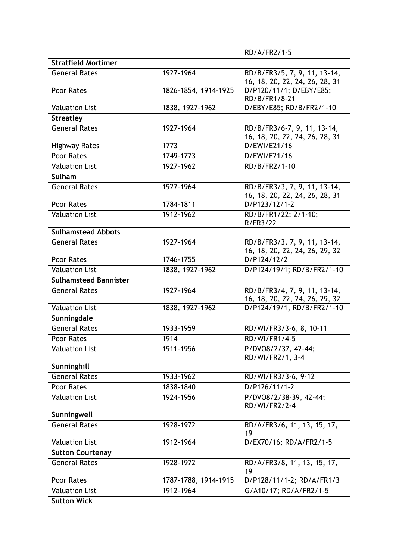|                              |                      | RD/A/FR2/1-5                                                   |
|------------------------------|----------------------|----------------------------------------------------------------|
| <b>Stratfield Mortimer</b>   |                      |                                                                |
| <b>General Rates</b>         | 1927-1964            | RD/B/FR3/5, 7, 9, 11, 13-14,                                   |
|                              |                      | 16, 18, 20, 22, 24, 26, 28, 31                                 |
| Poor Rates                   | 1826-1854, 1914-1925 | D/P120/11/1; D/EBY/E85;<br>RD/B/FR1/8-21                       |
| <b>Valuation List</b>        | 1838, 1927-1962      | D/EBY/E85; RD/B/FR2/1-10                                       |
| <b>Streatley</b>             |                      |                                                                |
| <b>General Rates</b>         | 1927-1964            | RD/B/FR3/6-7, 9, 11, 13-14,<br>16, 18, 20, 22, 24, 26, 28, 31  |
| <b>Highway Rates</b>         | 1773                 | D/EWI/E21/16                                                   |
| Poor Rates                   | 1749-1773            | D/EWI/E21/16                                                   |
| <b>Valuation List</b>        | 1927-1962            | RD/B/FR2/1-10                                                  |
| <b>Sulham</b>                |                      |                                                                |
| <b>General Rates</b>         | 1927-1964            | RD/B/FR3/3, 7, 9, 11, 13-14,<br>16, 18, 20, 22, 24, 26, 28, 31 |
| Poor Rates                   | 1784-1811            | D/P123/12/1-2                                                  |
| <b>Valuation List</b>        | 1912-1962            | RD/B/FR1/22; 2/1-10;<br>R/FR3/22                               |
| <b>Sulhamstead Abbots</b>    |                      |                                                                |
| <b>General Rates</b>         | 1927-1964            | RD/B/FR3/3, 7, 9, 11, 13-14,<br>16, 18, 20, 22, 24, 26, 29, 32 |
| Poor Rates                   | 1746-1755            | D/P124/12/2                                                    |
| <b>Valuation List</b>        | 1838, 1927-1962      | D/P124/19/1; RD/B/FR2/1-10                                     |
| <b>Sulhamstead Bannister</b> |                      |                                                                |
| <b>General Rates</b>         | 1927-1964            | RD/B/FR3/4, 7, 9, 11, 13-14,<br>16, 18, 20, 22, 24, 26, 29, 32 |
| <b>Valuation List</b>        | 1838, 1927-1962      | D/P124/19/1; RD/B/FR2/1-10                                     |
| Sunningdale                  |                      |                                                                |
| <b>General Rates</b>         | 1933-1959            | RD/WI/FR3/3-6, 8, 10-11                                        |
| Poor Rates                   | 1914                 | RD/WI/FR1/4-5                                                  |
| <b>Valuation List</b>        | 1911-1956            | P/DVO8/2/37, 42-44;                                            |
|                              |                      | RD/WI/FR2/1, 3-4                                               |
| Sunninghill                  |                      |                                                                |
| <b>General Rates</b>         | 1933-1962            | RD/WI/FR3/3-6, 9-12                                            |
| Poor Rates                   | 1838-1840            | D/P126/11/1-2                                                  |
| <b>Valuation List</b>        | 1924-1956            | P/DVO8/2/38-39, 42-44;<br>RD/WI/FR2/2-4                        |
| Sunningwell                  |                      |                                                                |
| <b>General Rates</b>         | 1928-1972            | RD/A/FR3/6, 11, 13, 15, 17,<br>19                              |
| <b>Valuation List</b>        | 1912-1964            | D/EX70/16; RD/A/FR2/1-5                                        |
| <b>Sutton Courtenay</b>      |                      |                                                                |
| <b>General Rates</b>         | 1928-1972            | RD/A/FR3/8, 11, 13, 15, 17,<br>19                              |
| Poor Rates                   | 1787-1788, 1914-1915 | D/P128/11/1-2; RD/A/FR1/3                                      |
| <b>Valuation List</b>        | 1912-1964            | G/A10/17; RD/A/FR2/1-5                                         |
| <b>Sutton Wick</b>           |                      |                                                                |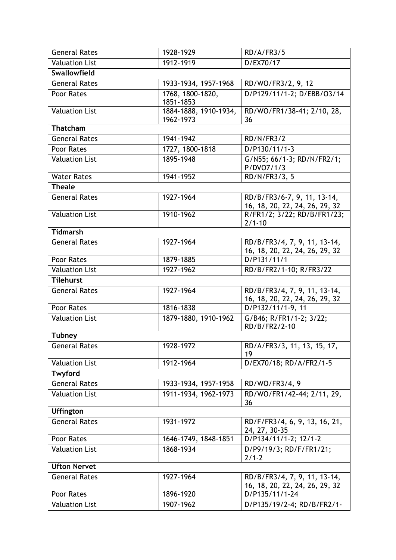| <b>General Rates</b>  | 1928-1929             | RD/A/FR3/5                                                    |
|-----------------------|-----------------------|---------------------------------------------------------------|
| <b>Valuation List</b> | 1912-1919             | D/EX70/17                                                     |
| Swallowfield          |                       |                                                               |
| <b>General Rates</b>  | 1933-1934, 1957-1968  | RD/WO/FR3/2, 9, 12                                            |
| Poor Rates            | 1768, 1800-1820,      | D/P129/11/1-2; D/EBB/03/14                                    |
|                       | 1851-1853             |                                                               |
| <b>Valuation List</b> | 1884-1888, 1910-1934, | RD/WO/FR1/38-41; 2/10, 28,                                    |
|                       | 1962-1973             | 36                                                            |
| Thatcham              |                       |                                                               |
| <b>General Rates</b>  | 1941-1942             | <b>RD/N/FR3/2</b>                                             |
| Poor Rates            | 1727, 1800-1818       | D/P130/11/1-3                                                 |
| <b>Valuation List</b> | 1895-1948             | G/N55; 66/1-3; RD/N/FR2/1;                                    |
|                       |                       | P/DVO7/1/3                                                    |
| <b>Water Rates</b>    | 1941-1952             | RD/N/FR3/3, 5                                                 |
| <b>Theale</b>         |                       |                                                               |
| <b>General Rates</b>  | 1927-1964             | RD/B/FR3/6-7, 9, 11, 13-14,                                   |
| <b>Valuation List</b> | 1910-1962             | 16, 18, 20, 22, 24, 26, 29, 32<br>R/FR1/2; 3/22; RD/B/FR1/23; |
|                       |                       | $2/1 - 10$                                                    |
| Tidmarsh              |                       |                                                               |
| <b>General Rates</b>  | 1927-1964             | RD/B/FR3/4, 7, 9, 11, 13-14,                                  |
|                       |                       | 16, 18, 20, 22, 24, 26, 29, 32                                |
| Poor Rates            | 1879-1885             | D/P131/11/1                                                   |
| <b>Valuation List</b> | 1927-1962             | RD/B/FR2/1-10; R/FR3/22                                       |
| <b>Tilehurst</b>      |                       |                                                               |
| <b>General Rates</b>  | 1927-1964             | RD/B/FR3/4, 7, 9, 11, 13-14,                                  |
|                       |                       | 16, 18, 20, 22, 24, 26, 29, 32                                |
| Poor Rates            | 1816-1838             | D/P132/11/1-9, 11                                             |
| <b>Valuation List</b> | 1879-1880, 1910-1962  | G/B46; R/FR1/1-2; 3/22;                                       |
|                       |                       | RD/B/FR2/2-10                                                 |
| <b>Tubney</b>         |                       |                                                               |
| <b>General Rates</b>  | 1928-1972             | RD/A/FR3/3, 11, 13, 15, 17,<br>19                             |
| <b>Valuation List</b> | 1912-1964             | D/EX70/18; RD/A/FR2/1-5                                       |
| Twyford               |                       |                                                               |
| General Rates         | 1933-1934, 1957-1958  | RD/WO/FR3/4, 9                                                |
| <b>Valuation List</b> | 1911-1934, 1962-1973  | RD/WO/FR1/42-44; 2/11, 29,<br>36                              |
| <b>Uffington</b>      |                       |                                                               |
| <b>General Rates</b>  | 1931-1972             | RD/F/FR3/4, 6, 9, 13, 16, 21,                                 |
|                       |                       | 24, 27, 30-35                                                 |
| Poor Rates            | 1646-1749, 1848-1851  | D/P134/11/1-2; 12/1-2                                         |
| <b>Valuation List</b> | 1868-1934             | D/P9/19/3; RD/F/FR1/21;<br>$2/1 - 2$                          |
| <b>Ufton Nervet</b>   |                       |                                                               |
| <b>General Rates</b>  | 1927-1964             | RD/B/FR3/4, 7, 9, 11, 13-14,                                  |
|                       |                       | 16, 18, 20, 22, 24, 26, 29, 32                                |
| Poor Rates            | 1896-1920             | D/P135/11/1-24                                                |
| <b>Valuation List</b> | 1907-1962             | D/P135/19/2-4; RD/B/FR2/1-                                    |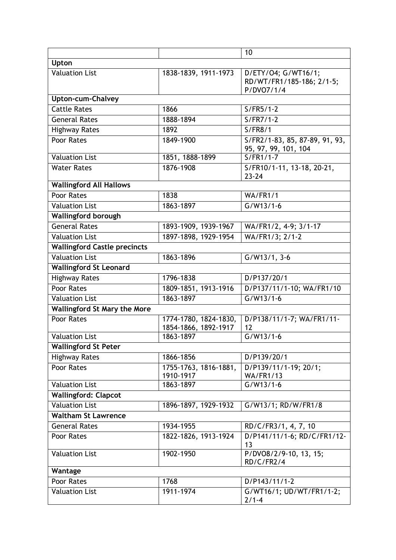|                                     |                                               | 10                                                             |  |
|-------------------------------------|-----------------------------------------------|----------------------------------------------------------------|--|
| Upton                               |                                               |                                                                |  |
| <b>Valuation List</b>               | 1838-1839, 1911-1973                          | D/ETY/04; G/WT16/1;<br>RD/WT/FR1/185-186; 2/1-5;<br>P/DVO7/1/4 |  |
| <b>Upton-cum-Chalvey</b>            |                                               |                                                                |  |
| <b>Cattle Rates</b>                 | 1866                                          | $S/FR5/1-2$                                                    |  |
| <b>General Rates</b>                | 1888-1894                                     | $S/FR7/1-2$                                                    |  |
| <b>Highway Rates</b>                | 1892                                          | S/FR8/1                                                        |  |
| Poor Rates                          | 1849-1900                                     | S/FR2/1-83, 85, 87-89, 91, 93,<br>95, 97, 99, 101, 104         |  |
| <b>Valuation List</b>               | 1851, 1888-1899                               | $S/FR1/1-7$                                                    |  |
| <b>Water Rates</b>                  | 1876-1908                                     | S/FR10/1-11, 13-18, 20-21,<br>$23 - 24$                        |  |
| <b>Wallingford All Hallows</b>      |                                               |                                                                |  |
| Poor Rates                          | 1838                                          | WA/FR1/1                                                       |  |
| <b>Valuation List</b>               | 1863-1897                                     | $G/W13/1-6$                                                    |  |
| <b>Wallingford borough</b>          |                                               |                                                                |  |
| <b>General Rates</b>                | 1893-1909, 1939-1967                          | WA/FR1/2, 4-9; 3/1-17                                          |  |
| <b>Valuation List</b>               | 1897-1898, 1929-1954                          | WA/FR1/3; 2/1-2                                                |  |
| <b>Wallingford Castle precincts</b> |                                               |                                                                |  |
| <b>Valuation List</b>               | 1863-1896                                     | $G/W13/1, 3-6$                                                 |  |
| <b>Wallingford St Leonard</b>       |                                               |                                                                |  |
| <b>Highway Rates</b>                | 1796-1838                                     | D/P137/20/1                                                    |  |
| Poor Rates                          | 1809-1851, 1913-1916                          | D/P137/11/1-10; WA/FR1/10                                      |  |
| <b>Valuation List</b>               | 1863-1897                                     | $G/W13/1-6$                                                    |  |
| <b>Wallingford St Mary the More</b> |                                               |                                                                |  |
| Poor Rates                          | 1774-1780, 1824-1830,<br>1854-1866, 1892-1917 | D/P138/11/1-7; WA/FR1/11-<br>12                                |  |
| <b>Valuation List</b>               | 1863-1897                                     | $G/W13/1-6$                                                    |  |
| <b>Wallingford St Peter</b>         |                                               |                                                                |  |
| <b>Highway Rates</b>                | 1866-1856                                     | D/P139/20/1                                                    |  |
| Poor Rates                          | 1755-1763, 1816-1881,<br>1910-1917            | D/P139/11/1-19; 20/1;<br><b>WA/FR1/13</b>                      |  |
| <b>Valuation List</b>               | 1863-1897                                     | $G/W13/1-6$                                                    |  |
| <b>Wallingford: Clapcot</b>         |                                               |                                                                |  |
| <b>Valuation List</b>               | 1896-1897, 1929-1932                          | G/W13/1; RD/W/FR1/8                                            |  |
| <b>Waltham St Lawrence</b>          |                                               |                                                                |  |
| <b>General Rates</b>                | 1934-1955                                     | RD/C/FR3/1, 4, 7, 10                                           |  |
| Poor Rates                          | 1822-1826, 1913-1924                          | D/P141/11/1-6; RD/C/FR1/12-<br>13                              |  |
| <b>Valuation List</b>               | 1902-1950                                     | P/DVO8/2/9-10, 13, 15;<br>RD/C/FR2/4                           |  |
| Wantage                             |                                               |                                                                |  |
| Poor Rates                          | 1768                                          | D/P143/11/1-2                                                  |  |
| <b>Valuation List</b>               | 1911-1974                                     | G/WT16/1; UD/WT/FR1/1-2;<br>$2/1-4$                            |  |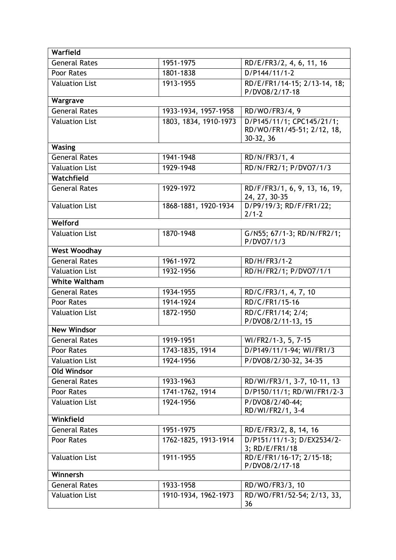| Warfield              |                       |                                                                      |
|-----------------------|-----------------------|----------------------------------------------------------------------|
| General Rates         | 1951-1975             | RD/E/FR3/2, 4, 6, 11, 16                                             |
| Poor Rates            | 1801-1838             | D/P144/11/1-2                                                        |
| <b>Valuation List</b> | 1913-1955             | RD/E/FR1/14-15; 2/13-14, 18;<br>P/DVO8/2/17-18                       |
| Wargrave              |                       |                                                                      |
| <b>General Rates</b>  | 1933-1934, 1957-1958  | RD/WO/FR3/4, 9                                                       |
| <b>Valuation List</b> | 1803, 1834, 1910-1973 | D/P145/11/1; CPC145/21/1;<br>RD/WO/FR1/45-51; 2/12, 18,<br>30-32, 36 |
| <b>Wasing</b>         |                       |                                                                      |
| <b>General Rates</b>  | 1941-1948             | RD/N/FR3/1, 4                                                        |
| <b>Valuation List</b> | 1929-1948             | RD/N/FR2/1; P/DVO7/1/3                                               |
| Watchfield            |                       |                                                                      |
| <b>General Rates</b>  | 1929-1972             | RD/F/FR3/1, 6, 9, 13, 16, 19,<br>24, 27, 30-35                       |
| <b>Valuation List</b> | 1868-1881, 1920-1934  | D/P9/19/3; RD/F/FR1/22;<br>$2/1 - 2$                                 |
| Welford               |                       |                                                                      |
| <b>Valuation List</b> | 1870-1948             | G/N55; 67/1-3; RD/N/FR2/1;<br>P/DVO7/1/3                             |
| <b>West Woodhay</b>   |                       |                                                                      |
| <b>General Rates</b>  | 1961-1972             | RD/H/FR3/1-2                                                         |
| <b>Valuation List</b> | 1932-1956             | RD/H/FR2/1; P/DVO7/1/1                                               |
| <b>White Waltham</b>  |                       |                                                                      |
| <b>General Rates</b>  | 1934-1955             | RD/C/FR3/1, 4, 7, 10                                                 |
| Poor Rates            | 1914-1924             | RD/C/FR1/15-16                                                       |
| <b>Valuation List</b> | 1872-1950             | RD/C/FR1/14; 2/4;<br>P/DVO8/2/11-13, 15                              |
| <b>New Windsor</b>    |                       |                                                                      |
| <b>General Rates</b>  | 1919-1951             | WI/FR2/1-3, 5, 7-15                                                  |
| Poor Rates            | 1743-1835, 1914       | D/P149/11/1-94; WI/FR1/3                                             |
| <b>Valuation List</b> | 1924-1956             | P/DVO8/2/30-32, 34-35                                                |
| <b>Old Windsor</b>    |                       |                                                                      |
| <b>General Rates</b>  | 1933-1963             | RD/WI/FR3/1, 3-7, 10-11, 13                                          |
| Poor Rates            | 1741-1762, 1914       | D/P150/11/1; RD/WI/FR1/2-3                                           |
| <b>Valuation List</b> | 1924-1956             | P/DVO8/2/40-44;<br>RD/WI/FR2/1, 3-4                                  |
| Winkfield             |                       |                                                                      |
| General Rates         | 1951-1975             | RD/E/FR3/2, 8, 14, 16                                                |
| Poor Rates            | 1762-1825, 1913-1914  | D/P151/11/1-3; D/EX2534/2-<br>3; RD/E/FR1/18                         |
| <b>Valuation List</b> | 1911-1955             | RD/E/FR1/16-17; 2/15-18;<br>P/DVO8/2/17-18                           |
| Winnersh              |                       |                                                                      |
| <b>General Rates</b>  | 1933-1958             | RD/WO/FR3/3, 10                                                      |
| <b>Valuation List</b> | 1910-1934, 1962-1973  | RD/WO/FR1/52-54; 2/13, 33,<br>36                                     |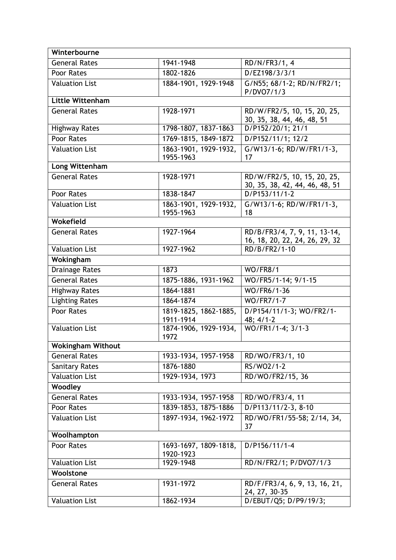| Winterbourne             |                                    |                                                                |
|--------------------------|------------------------------------|----------------------------------------------------------------|
| <b>General Rates</b>     | 1941-1948                          | RD/N/FR3/1, 4                                                  |
| Poor Rates               | 1802-1826                          | D/EZ198/3/3/1                                                  |
| <b>Valuation List</b>    | 1884-1901, 1929-1948               | G/N55; 68/1-2; RD/N/FR2/1;<br>P/DVO7/1/3                       |
| <b>Little Wittenham</b>  |                                    |                                                                |
| <b>General Rates</b>     | 1928-1971                          | RD/W/FR2/5, 10, 15, 20, 25,<br>30, 35, 38, 44, 46, 48, 51      |
| <b>Highway Rates</b>     | 1798-1807, 1837-1863               | D/P152/20/1; 21/1                                              |
| Poor Rates               | 1769-1815, 1849-1872               | D/P152/11/1; 12/2                                              |
| <b>Valuation List</b>    | 1863-1901, 1929-1932,<br>1955-1963 | G/W13/1-6; RD/W/FR1/1-3,<br>17                                 |
| Long Wittenham           |                                    |                                                                |
| <b>General Rates</b>     | 1928-1971                          | RD/W/FR2/5, 10, 15, 20, 25,<br>30, 35, 38, 42, 44, 46, 48, 51  |
| Poor Rates               | 1838-1847                          | $D/P153/11/1-2$                                                |
| <b>Valuation List</b>    | 1863-1901, 1929-1932,<br>1955-1963 | G/W13/1-6; RD/W/FR1/1-3,<br>18                                 |
| Wokefield                |                                    |                                                                |
| <b>General Rates</b>     | 1927-1964                          | RD/B/FR3/4, 7, 9, 11, 13-14,<br>16, 18, 20, 22, 24, 26, 29, 32 |
| <b>Valuation List</b>    | 1927-1962                          | RD/B/FR2/1-10                                                  |
| Wokingham                |                                    |                                                                |
| <b>Drainage Rates</b>    | 1873                               | <b>WO/FR8/1</b>                                                |
| <b>General Rates</b>     | 1875-1886, 1931-1962               | WO/FR5/1-14; 9/1-15                                            |
| <b>Highway Rates</b>     | 1864-1881                          | WO/FR6/1-36                                                    |
| <b>Lighting Rates</b>    | 1864-1874                          | WO/FR7/1-7                                                     |
| Poor Rates               | 1819-1825, 1862-1885,<br>1911-1914 | D/P154/11/1-3; WO/FR2/1-<br>48; 4/1-2                          |
| <b>Valuation List</b>    | 1874-1906, 1929-1934,<br>1972      | WO/FR1/1-4; 3/1-3                                              |
| <b>Wokingham Without</b> |                                    |                                                                |
| <b>General Rates</b>     | 1933-1934, 1957-1958               | RD/WO/FR3/1, 10                                                |
| <b>Sanitary Rates</b>    | 1876-1880                          | RS/WO2/1-2                                                     |
| <b>Valuation List</b>    | 1929-1934, 1973                    | RD/WO/FR2/15, 36                                               |
| Woodley                  |                                    |                                                                |
| <b>General Rates</b>     | 1933-1934, 1957-1958               | RD/WO/FR3/4, 11                                                |
| Poor Rates               | 1839-1853, 1875-1886               | $D/P113/11/2-3, 8-10$                                          |
| <b>Valuation List</b>    | 1897-1934, 1962-1972               | RD/WO/FR1/55-58; 2/14, 34,<br>37                               |
| Woolhampton              |                                    |                                                                |
| Poor Rates               | 1693-1697, 1809-1818,<br>1920-1923 | D/P156/11/1-4                                                  |
| <b>Valuation List</b>    | 1929-1948                          | RD/N/FR2/1; P/DVO7/1/3                                         |
| Woolstone                |                                    |                                                                |
| <b>General Rates</b>     | 1931-1972                          | RD/F/FR3/4, 6, 9, 13, 16, 21,<br>24, 27, 30-35                 |
| <b>Valuation List</b>    | 1862-1934                          | D/EBUT/Q5; D/P9/19/3;                                          |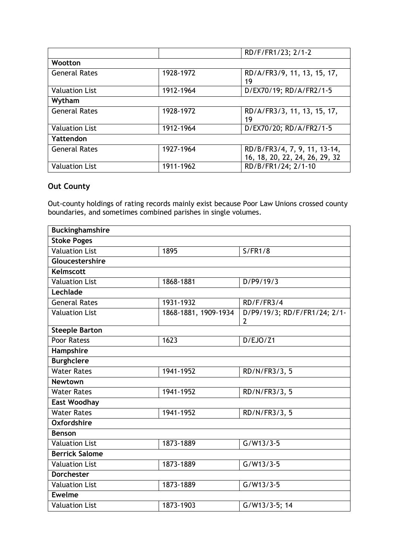|                       |           | RD/F/FR1/23; 2/1-2                                             |
|-----------------------|-----------|----------------------------------------------------------------|
| Wootton               |           |                                                                |
| <b>General Rates</b>  | 1928-1972 | RD/A/FR3/9, 11, 13, 15, 17,<br>19                              |
| <b>Valuation List</b> | 1912-1964 | D/EX70/19; RD/A/FR2/1-5                                        |
| Wytham                |           |                                                                |
| <b>General Rates</b>  | 1928-1972 | RD/A/FR3/3, 11, 13, 15, 17,<br>19                              |
| <b>Valuation List</b> | 1912-1964 | D/EX70/20; RD/A/FR2/1-5                                        |
| Yattendon             |           |                                                                |
| <b>General Rates</b>  | 1927-1964 | RD/B/FR3/4, 7, 9, 11, 13-14,<br>16, 18, 20, 22, 24, 26, 29, 32 |
| <b>Valuation List</b> | 1911-1962 | RD/B/FR1/24; 2/1-10                                            |

## **Out County**

Out-county holdings of rating records mainly exist because Poor Law Unions crossed county boundaries, and sometimes combined parishes in single volumes.

| <b>Buckinghamshire</b> |                      |                                                |
|------------------------|----------------------|------------------------------------------------|
| <b>Stoke Poges</b>     |                      |                                                |
| <b>Valuation List</b>  | 1895                 | S/FR1/8                                        |
| Gloucestershire        |                      |                                                |
| <b>Kelmscott</b>       |                      |                                                |
| <b>Valuation List</b>  | 1868-1881            | D/P9/19/3                                      |
| Lechlade               |                      |                                                |
| <b>General Rates</b>   | 1931-1932            | RD/F/FR3/4                                     |
| <b>Valuation List</b>  | 1868-1881, 1909-1934 | D/P9/19/3; RD/F/FR1/24; 2/1-<br>$\overline{2}$ |
| <b>Steeple Barton</b>  |                      |                                                |
| Poor Ratess            | 1623                 | D/EJO/Z1                                       |
| Hampshire              |                      |                                                |
| <b>Burghclere</b>      |                      |                                                |
| <b>Water Rates</b>     | 1941-1952            | RD/N/FR3/3, 5                                  |
| <b>Newtown</b>         |                      |                                                |
| <b>Water Rates</b>     | 1941-1952            | RD/N/FR3/3, 5                                  |
| <b>East Woodhay</b>    |                      |                                                |
| <b>Water Rates</b>     | 1941-1952            | RD/N/FR3/3, 5                                  |
| <b>Oxfordshire</b>     |                      |                                                |
| <b>Benson</b>          |                      |                                                |
| <b>Valuation List</b>  | 1873-1889            | $G/W13/3-5$                                    |
| <b>Berrick Salome</b>  |                      |                                                |
| <b>Valuation List</b>  | 1873-1889            | $G/W13/3-5$                                    |
| <b>Dorchester</b>      |                      |                                                |
| <b>Valuation List</b>  | 1873-1889            | $G/W13/3-5$                                    |
| <b>Ewelme</b>          |                      |                                                |
| <b>Valuation List</b>  | 1873-1903            | G/W13/3-5; 14                                  |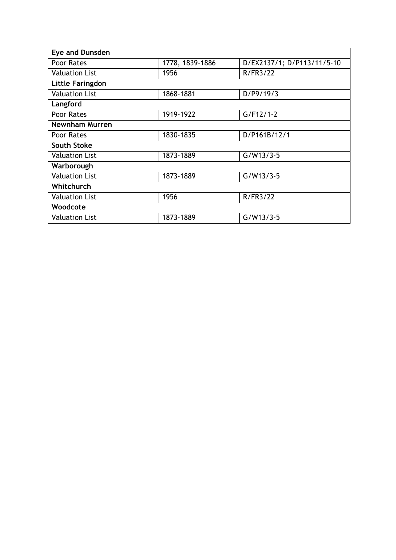| D/EX2137/1; D/P113/11/5-10                                                                                    |
|---------------------------------------------------------------------------------------------------------------|
| R/FR3/22                                                                                                      |
|                                                                                                               |
| D/P9/19/3                                                                                                     |
|                                                                                                               |
| $G/F12/1-2$                                                                                                   |
|                                                                                                               |
| D/P161B/12/1                                                                                                  |
|                                                                                                               |
| $G/W13/3-5$                                                                                                   |
|                                                                                                               |
| $G/W13/3-5$                                                                                                   |
|                                                                                                               |
| R/FR3/22                                                                                                      |
|                                                                                                               |
| $G/W13/3-5$                                                                                                   |
| 1778, 1839-1886<br>1956<br>1868-1881<br>1919-1922<br>1830-1835<br>1873-1889<br>1873-1889<br>1956<br>1873-1889 |